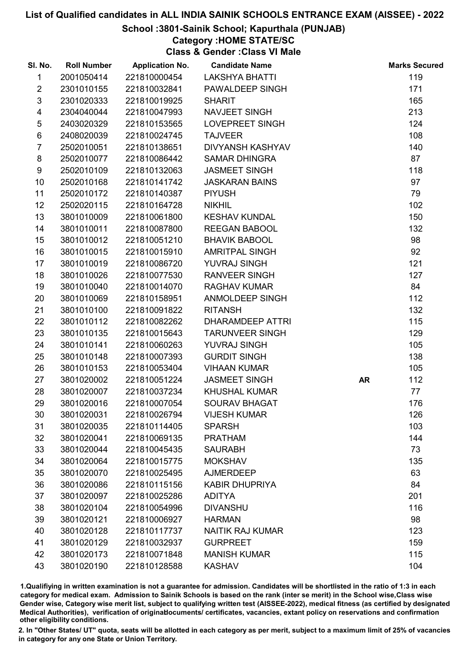### School :3801-Sainik School; Kapurthala (PUNJAB)

## Category :HOME STATE/SC

Class & Gender :Class VI Male

| SI. No.        | <b>Roll Number</b> | <b>Application No.</b> | <b>Candidate Name</b>   |           | <b>Marks Secured</b> |
|----------------|--------------------|------------------------|-------------------------|-----------|----------------------|
| 1              | 2001050414         | 221810000454           | <b>LAKSHYA BHATTI</b>   |           | 119                  |
| $\overline{2}$ | 2301010155         | 221810032841           | PAWALDEEP SINGH         |           | 171                  |
| $\mathfrak{S}$ | 2301020333         | 221810019925           | <b>SHARIT</b>           |           | 165                  |
| 4              | 2304040044         | 221810047993           | <b>NAVJEET SINGH</b>    |           | 213                  |
| $\sqrt{5}$     | 2403020329         | 221810153565           | LOVEPREET SINGH         |           | 124                  |
| 6              | 2408020039         | 221810024745           | <b>TAJVEER</b>          |           | 108                  |
| $\overline{7}$ | 2502010051         | 221810138651           | <b>DIVYANSH KASHYAV</b> |           | 140                  |
| 8              | 2502010077         | 221810086442           | <b>SAMAR DHINGRA</b>    |           | 87                   |
| 9              | 2502010109         | 221810132063           | <b>JASMEET SINGH</b>    |           | 118                  |
| 10             | 2502010168         | 221810141742           | <b>JASKARAN BAINS</b>   |           | 97                   |
| 11             | 2502010172         | 221810140387           | <b>PIYUSH</b>           |           | 79                   |
| 12             | 2502020115         | 221810164728           | <b>NIKHIL</b>           |           | 102                  |
| 13             | 3801010009         | 221810061800           | <b>KESHAV KUNDAL</b>    |           | 150                  |
| 14             | 3801010011         | 221810087800           | <b>REEGAN BABOOL</b>    |           | 132                  |
| 15             | 3801010012         | 221810051210           | <b>BHAVIK BABOOL</b>    |           | 98                   |
| 16             | 3801010015         | 221810015910           | <b>AMRITPAL SINGH</b>   |           | 92                   |
| 17             | 3801010019         | 221810086720           | YUVRAJ SINGH            |           | 121                  |
| 18             | 3801010026         | 221810077530           | <b>RANVEER SINGH</b>    |           | 127                  |
| 19             | 3801010040         | 221810014070           | <b>RAGHAV KUMAR</b>     |           | 84                   |
| 20             | 3801010069         | 221810158951           | <b>ANMOLDEEP SINGH</b>  |           | 112                  |
| 21             | 3801010100         | 221810091822           | <b>RITANSH</b>          |           | 132                  |
| 22             | 3801010112         | 221810082262           | <b>DHARAMDEEP ATTRI</b> |           | 115                  |
| 23             | 3801010135         | 221810015643           | <b>TARUNVEER SINGH</b>  |           | 129                  |
| 24             | 3801010141         | 221810060263           | YUVRAJ SINGH            |           | 105                  |
| 25             | 3801010148         | 221810007393           | <b>GURDIT SINGH</b>     |           | 138                  |
| 26             | 3801010153         | 221810053404           | <b>VIHAAN KUMAR</b>     |           | 105                  |
| 27             | 3801020002         | 221810051224           | <b>JASMEET SINGH</b>    | <b>AR</b> | 112                  |
| 28             | 3801020007         | 221810037234           | <b>KHUSHAL KUMAR</b>    |           | 77                   |
| 29             | 3801020016         | 221810007054           | <b>SOURAV BHAGAT</b>    |           | 176                  |
| 30             | 3801020031         | 221810026794           | <b>VIJESH KUMAR</b>     |           | 126                  |
| 31             | 3801020035         | 221810114405           | <b>SPARSH</b>           |           | 103                  |
| 32             | 3801020041         | 221810069135           | <b>PRATHAM</b>          |           | 144                  |
| 33             | 3801020044         | 221810045435           | <b>SAURABH</b>          |           | 73                   |
| 34             | 3801020064         | 221810015775           | <b>MOKSHAV</b>          |           | 135                  |
| 35             | 3801020070         | 221810025495           | <b>AJMERDEEP</b>        |           | 63                   |
| 36             | 3801020086         | 221810115156           | <b>KABIR DHUPRIYA</b>   |           | 84                   |
| 37             | 3801020097         | 221810025286           | <b>ADITYA</b>           |           | 201                  |
| 38             | 3801020104         | 221810054996           | <b>DIVANSHU</b>         |           | 116                  |
| 39             | 3801020121         | 221810006927           | <b>HARMAN</b>           |           | 98                   |
| 40             | 3801020128         | 221810117737           | <b>NAITIK RAJ KUMAR</b> |           | 123                  |
| 41             | 3801020129         | 221810032937           | <b>GURPREET</b>         |           | 159                  |
| 42             | 3801020173         | 221810071848           | <b>MANISH KUMAR</b>     |           | 115                  |
| 43             | 3801020190         | 221810128588           | <b>KASHAV</b>           |           | 104                  |

1.Qualifiying in written examination is not a guarantee for admission. Candidates will be shortlisted in the ratio of 1:3 in each category for medical exam. Admission to Sainik Schools is based on the rank (inter se merit) in the School wise,Class wise Gender wise, Category wise merit list, subject to qualifying written test (AISSEE-2022), medical fitness (as certified by designated Medical Authorities), verification of originablocuments/ certificates, vacancies, extant policy on reservations and confirmation other eligibility conditions.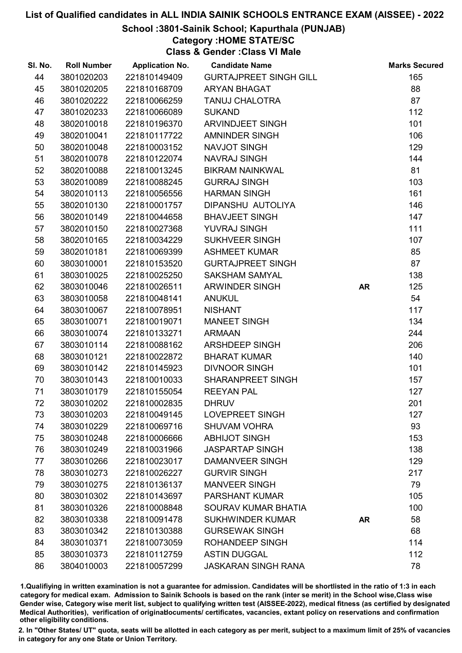### School :3801-Sainik School; Kapurthala (PUNJAB)

## Category :HOME STATE/SC

Class & Gender :Class VI Male

| SI. No. | <b>Roll Number</b> | <b>Application No.</b> | <b>Candidate Name</b>         |           | <b>Marks Secured</b> |
|---------|--------------------|------------------------|-------------------------------|-----------|----------------------|
| 44      | 3801020203         | 221810149409           | <b>GURTAJPREET SINGH GILL</b> |           | 165                  |
| 45      | 3801020205         | 221810168709           | <b>ARYAN BHAGAT</b>           |           | 88                   |
| 46      | 3801020222         | 221810066259           | <b>TANUJ CHALOTRA</b>         |           | 87                   |
| 47      | 3801020233         | 221810066089           | <b>SUKAND</b>                 |           | 112                  |
| 48      | 3802010018         | 221810196370           | <b>ARVINDJEET SINGH</b>       |           | 101                  |
| 49      | 3802010041         | 221810117722           | <b>AMNINDER SINGH</b>         |           | 106                  |
| 50      | 3802010048         | 221810003152           | NAVJOT SINGH                  |           | 129                  |
| 51      | 3802010078         | 221810122074           | <b>NAVRAJ SINGH</b>           |           | 144                  |
| 52      | 3802010088         | 221810013245           | <b>BIKRAM NAINKWAL</b>        |           | 81                   |
| 53      | 3802010089         | 221810088245           | <b>GURRAJ SINGH</b>           |           | 103                  |
| 54      | 3802010113         | 221810056556           | <b>HARMAN SINGH</b>           |           | 161                  |
| 55      | 3802010130         | 221810001757           | DIPANSHU AUTOLIYA             |           | 146                  |
| 56      | 3802010149         | 221810044658           | <b>BHAVJEET SINGH</b>         |           | 147                  |
| 57      | 3802010150         | 221810027368           | YUVRAJ SINGH                  |           | 111                  |
| 58      | 3802010165         | 221810034229           | <b>SUKHVEER SINGH</b>         |           | 107                  |
| 59      | 3802010181         | 221810069399           | <b>ASHMEET KUMAR</b>          |           | 85                   |
| 60      | 3803010001         | 221810153520           | <b>GURTAJPREET SINGH</b>      |           | 87                   |
| 61      | 3803010025         | 221810025250           | <b>SAKSHAM SAMYAL</b>         |           | 138                  |
| 62      | 3803010046         | 221810026511           | ARWINDER SINGH                | <b>AR</b> | 125                  |
| 63      | 3803010058         | 221810048141           | <b>ANUKUL</b>                 |           | 54                   |
| 64      | 3803010067         | 221810078951           | <b>NISHANT</b>                |           | 117                  |
| 65      | 3803010071         | 221810019071           | <b>MANEET SINGH</b>           |           | 134                  |
| 66      | 3803010074         | 221810133271           | <b>ARMAAN</b>                 |           | 244                  |
| 67      | 3803010114         | 221810088162           | ARSHDEEP SINGH                |           | 206                  |
| 68      | 3803010121         | 221810022872           | <b>BHARAT KUMAR</b>           |           | 140                  |
| 69      | 3803010142         | 221810145923           | <b>DIVNOOR SINGH</b>          |           | 101                  |
| 70      | 3803010143         | 221810010033           | <b>SHARANPREET SINGH</b>      |           | 157                  |
| 71      | 3803010179         | 221810155054           | <b>REEYAN PAL</b>             |           | 127                  |
| 72      | 3803010202         | 221810002835           | <b>DHRUV</b>                  |           | 201                  |
| 73      | 3803010203         | 221810049145           | <b>LOVEPREET SINGH</b>        |           | 127                  |
| 74      | 3803010229         | 221810069716           | <b>SHUVAM VOHRA</b>           |           | 93                   |
| 75      | 3803010248         | 221810006666           | <b>ABHIJOT SINGH</b>          |           | 153                  |
| 76      | 3803010249         | 221810031966           | <b>JASPARTAP SINGH</b>        |           | 138                  |
| 77      | 3803010266         | 221810023017           | <b>DAMANVEER SINGH</b>        |           | 129                  |
| 78      | 3803010273         | 221810026227           | <b>GURVIR SINGH</b>           |           | 217                  |
| 79      | 3803010275         | 221810136137           | <b>MANVEER SINGH</b>          |           | 79                   |
| 80      | 3803010302         | 221810143697           | <b>PARSHANT KUMAR</b>         |           | 105                  |
| 81      | 3803010326         | 221810008848           | <b>SOURAV KUMAR BHATIA</b>    |           | 100                  |
| 82      | 3803010338         | 221810091478           | <b>SUKHWINDER KUMAR</b>       | <b>AR</b> | 58                   |
| 83      | 3803010342         | 221810130388           | <b>GURSEWAK SINGH</b>         |           | 68                   |
| 84      | 3803010371         | 221810073059           | <b>ROHANDEEP SINGH</b>        |           | 114                  |
| 85      | 3803010373         | 221810112759           | <b>ASTIN DUGGAL</b>           |           | 112                  |
| 86      | 3804010003         | 221810057299           | <b>JASKARAN SINGH RANA</b>    |           | 78                   |

1.Qualifiying in written examination is not a guarantee for admission. Candidates will be shortlisted in the ratio of 1:3 in each category for medical exam. Admission to Sainik Schools is based on the rank (inter se merit) in the School wise,Class wise Gender wise, Category wise merit list, subject to qualifying written test (AISSEE-2022), medical fitness (as certified by designated Medical Authorities), verification of originablocuments/ certificates, vacancies, extant policy on reservations and confirmation other eligibility conditions.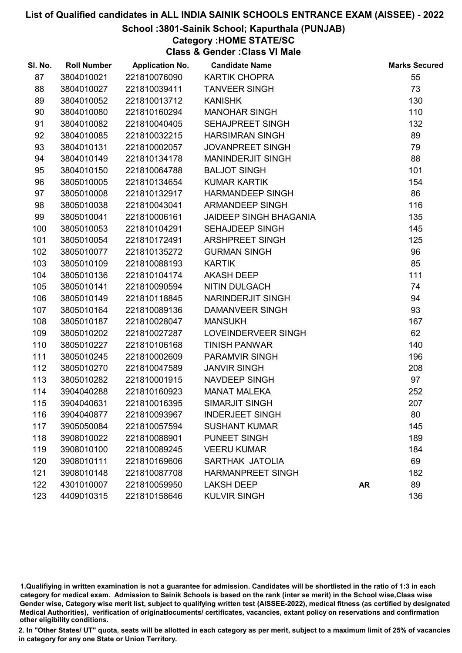### School :3801-Sainik School; Kapurthala (PUNJAB)

## Category :HOME STATE/SC

Class & Gender :Class VI Male

| SI. No. | <b>Roll Number</b> | <b>Application No.</b> | <b>Candidate Name</b>         |           | <b>Marks Secured</b> |
|---------|--------------------|------------------------|-------------------------------|-----------|----------------------|
| 87      | 3804010021         | 221810076090           | <b>KARTIK CHOPRA</b>          |           | 55                   |
| 88      | 3804010027         | 221810039411           | <b>TANVEER SINGH</b>          |           | 73                   |
| 89      | 3804010052         | 221810013712           | <b>KANISHK</b>                |           | 130                  |
| 90      | 3804010080         | 221810160294           | <b>MANOHAR SINGH</b>          |           | 110                  |
| 91      | 3804010082         | 221810040405           | <b>SEHAJPREET SINGH</b>       |           | 132                  |
| 92      | 3804010085         | 221810032215           | <b>HARSIMRAN SINGH</b>        |           | 89                   |
| 93      | 3804010131         | 221810002057           | <b>JOVANPREET SINGH</b>       |           | 79                   |
| 94      | 3804010149         | 221810134178           | <b>MANINDERJIT SINGH</b>      |           | 88                   |
| 95      | 3804010150         | 221810064788           | <b>BALJOT SINGH</b>           |           | 101                  |
| 96      | 3805010005         | 221810134654           | <b>KUMAR KARTIK</b>           |           | 154                  |
| 97      | 3805010008         | 221810132917           | <b>HARMANDEEP SINGH</b>       |           | 86                   |
| 98      | 3805010038         | 221810043041           | <b>ARMANDEEP SINGH</b>        |           | 116                  |
| 99      | 3805010041         | 221810006161           | <b>JAIDEEP SINGH BHAGANIA</b> |           | 135                  |
| 100     | 3805010053         | 221810104291           | SEHAJDEEP SINGH               |           | 145                  |
| 101     | 3805010054         | 221810172491           | <b>ARSHPREET SINGH</b>        |           | 125                  |
| 102     | 3805010077         | 221810135272           | <b>GURMAN SINGH</b>           |           | 96                   |
| 103     | 3805010109         | 221810088193           | <b>KARTIK</b>                 |           | 85                   |
| 104     | 3805010136         | 221810104174           | <b>AKASH DEEP</b>             |           | 111                  |
| 105     | 3805010141         | 221810090594           | <b>NITIN DULGACH</b>          |           | 74                   |
| 106     | 3805010149         | 221810118845           | NARINDERJIT SINGH             |           | 94                   |
| 107     | 3805010164         | 221810089136           | <b>DAMANVEER SINGH</b>        |           | 93                   |
| 108     | 3805010187         | 221810028047           | <b>MANSUKH</b>                |           | 167                  |
| 109     | 3805010202         | 221810027287           | LOVEINDERVEER SINGH           |           | 62                   |
| 110     | 3805010227         | 221810106168           | <b>TINISH PANWAR</b>          |           | 140                  |
| 111     | 3805010245         | 221810002609           | <b>PARAMVIR SINGH</b>         |           | 196                  |
| 112     | 3805010270         | 221810047589           | <b>JANVIR SINGH</b>           |           | 208                  |
| 113     | 3805010282         | 221810001915           | NAVDEEP SINGH                 |           | 97                   |
| 114     | 3904040288         | 221810160923           | <b>MANAT MALEKA</b>           |           | 252                  |
| 115     | 3904040631         | 221810016395           | <b>SIMARJIT SINGH</b>         |           | 207                  |
| 116     | 3904040877         | 221810093967           | <b>INDERJEET SINGH</b>        |           | 80                   |
| 117     | 3905050084         | 221810057594           | <b>SUSHANT KUMAR</b>          |           | 145                  |
| 118     | 3908010022         | 221810088901           | <b>PUNEET SINGH</b>           |           | 189                  |
| 119     | 3908010100         | 221810089245           | <b>VEERU KUMAR</b>            |           | 184                  |
| 120     | 3908010111         | 221810169606           | SARTHAK JATOLIA               |           | 69                   |
| 121     | 3908010148         | 221810087708           | <b>HARMANPREET SINGH</b>      |           | 182                  |
| 122     | 4301010007         | 221810059950           | <b>LAKSH DEEP</b>             | <b>AR</b> | 89                   |
| 123     | 4409010315         | 221810158646           | <b>KULVIR SINGH</b>           |           | 136                  |

1.Qualifiying in written examination is not a guarantee for admission. Candidates will be shortlisted in the ratio of 1:3 in each category for medical exam. Admission to Sainik Schools is based on the rank (inter se merit) in the School wise,Class wise Gender wise, Category wise merit list, subject to qualifying written test (AISSEE-2022), medical fitness (as certified by designated Medical Authorities), verification of originablocuments/ certificates, vacancies, extant policy on reservations and confirmation other eligibility conditions.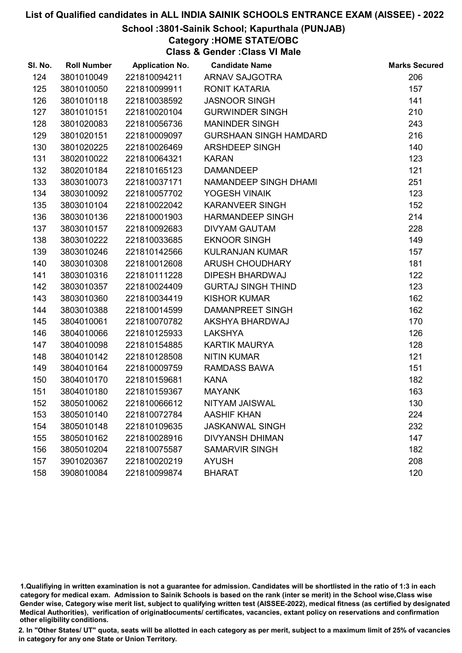## School :3801-Sainik School; Kapurthala (PUNJAB)

Category :HOME STATE/OBC

Class & Gender :Class VI Male

| SI. No. | <b>Roll Number</b> | <b>Application No.</b> | <b>Candidate Name</b>         | <b>Marks Secured</b> |
|---------|--------------------|------------------------|-------------------------------|----------------------|
| 124     | 3801010049         | 221810094211           | <b>ARNAV SAJGOTRA</b>         | 206                  |
| 125     | 3801010050         | 221810099911           | <b>RONIT KATARIA</b>          | 157                  |
| 126     | 3801010118         | 221810038592           | <b>JASNOOR SINGH</b>          | 141                  |
| 127     | 3801010151         | 221810020104           | <b>GURWINDER SINGH</b>        | 210                  |
| 128     | 3801020083         | 221810056736           | <b>MANINDER SINGH</b>         | 243                  |
| 129     | 3801020151         | 221810009097           | <b>GURSHAAN SINGH HAMDARD</b> | 216                  |
| 130     | 3801020225         | 221810026469           | ARSHDEEP SINGH                | 140                  |
| 131     | 3802010022         | 221810064321           | <b>KARAN</b>                  | 123                  |
| 132     | 3802010184         | 221810165123           | <b>DAMANDEEP</b>              | 121                  |
| 133     | 3803010073         | 221810037171           | NAMANDEEP SINGH DHAMI         | 251                  |
| 134     | 3803010092         | 221810057702           | YOGESH VINAIK                 | 123                  |
| 135     | 3803010104         | 221810022042           | <b>KARANVEER SINGH</b>        | 152                  |
| 136     | 3803010136         | 221810001903           | <b>HARMANDEEP SINGH</b>       | 214                  |
| 137     | 3803010157         | 221810092683           | <b>DIVYAM GAUTAM</b>          | 228                  |
| 138     | 3803010222         | 221810033685           | <b>EKNOOR SINGH</b>           | 149                  |
| 139     | 3803010246         | 221810142566           | <b>KULRANJAN KUMAR</b>        | 157                  |
| 140     | 3803010308         | 221810012608           | <b>ARUSH CHOUDHARY</b>        | 181                  |
| 141     | 3803010316         | 221810111228           | <b>DIPESH BHARDWAJ</b>        | 122                  |
| 142     | 3803010357         | 221810024409           | <b>GURTAJ SINGH THIND</b>     | 123                  |
| 143     | 3803010360         | 221810034419           | <b>KISHOR KUMAR</b>           | 162                  |
| 144     | 3803010388         | 221810014599           | DAMANPREET SINGH              | 162                  |
| 145     | 3804010061         | 221810070782           | AKSHYA BHARDWAJ               | 170                  |
| 146     | 3804010066         | 221810125933           | <b>LAKSHYA</b>                | 126                  |
| 147     | 3804010098         | 221810154885           | <b>KARTIK MAURYA</b>          | 128                  |
| 148     | 3804010142         | 221810128508           | <b>NITIN KUMAR</b>            | 121                  |
| 149     | 3804010164         | 221810009759           | <b>RAMDASS BAWA</b>           | 151                  |
| 150     | 3804010170         | 221810159681           | <b>KANA</b>                   | 182                  |
| 151     | 3804010180         | 221810159367           | <b>MAYANK</b>                 | 163                  |
| 152     | 3805010062         | 221810066612           | NITYAM JAISWAL                | 130                  |
| 153     | 3805010140         | 221810072784           | <b>AASHIF KHAN</b>            | 224                  |
| 154     | 3805010148         | 221810109635           | <b>JASKANWAL SINGH</b>        | 232                  |
| 155     | 3805010162         | 221810028916           | <b>DIVYANSH DHIMAN</b>        | 147                  |
| 156     | 3805010204         | 221810075587           | <b>SAMARVIR SINGH</b>         | 182                  |
| 157     | 3901020367         | 221810020219           | <b>AYUSH</b>                  | 208                  |
| 158     | 3908010084         | 221810099874           | <b>BHARAT</b>                 | 120                  |

<sup>1.</sup>Qualifiying in written examination is not a guarantee for admission. Candidates will be shortlisted in the ratio of 1:3 in each category for medical exam. Admission to Sainik Schools is based on the rank (inter se merit) in the School wise,Class wise Gender wise, Category wise merit list, subject to qualifying written test (AISSEE-2022), medical fitness (as certified by designated Medical Authorities), verification of originablocuments/ certificates, vacancies, extant policy on reservations and confirmation other eligibility conditions.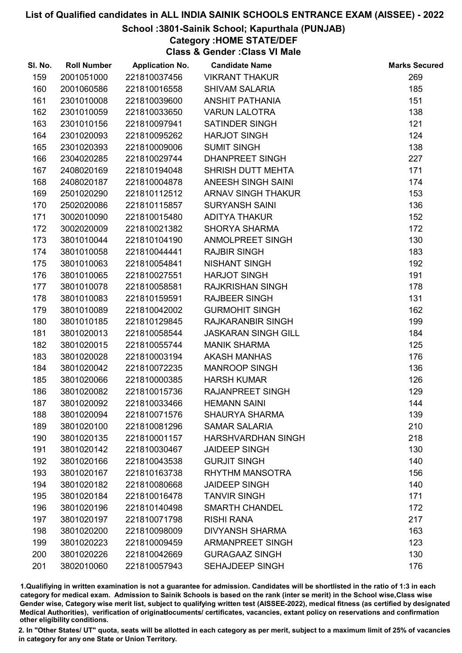## School :3801-Sainik School; Kapurthala (PUNJAB)

## Category :HOME STATE/DEF

Class & Gender :Class VI Male

| SI. No. | <b>Roll Number</b> | <b>Application No.</b> | <b>Candidate Name</b>      | <b>Marks Secured</b> |
|---------|--------------------|------------------------|----------------------------|----------------------|
| 159     | 2001051000         | 221810037456           | <b>VIKRANT THAKUR</b>      | 269                  |
| 160     | 2001060586         | 221810016558           | <b>SHIVAM SALARIA</b>      | 185                  |
| 161     | 2301010008         | 221810039600           | <b>ANSHIT PATHANIA</b>     | 151                  |
| 162     | 2301010059         | 221810033650           | <b>VARUN LALOTRA</b>       | 138                  |
| 163     | 2301010156         | 221810097941           | <b>SATINDER SINGH</b>      | 121                  |
| 164     | 2301020093         | 221810095262           | HARJOT SINGH               | 124                  |
| 165     | 2301020393         | 221810009006           | <b>SUMIT SINGH</b>         | 138                  |
| 166     | 2304020285         | 221810029744           | <b>DHANPREET SINGH</b>     | 227                  |
| 167     | 2408020169         | 221810194048           | SHRISH DUTT MEHTA          | 171                  |
| 168     | 2408020187         | 221810004878           | ANEESH SINGH SAINI         | 174                  |
| 169     | 2501020290         | 221810112512           | <b>ARNAV SINGH THAKUR</b>  | 153                  |
| 170     | 2502020086         | 221810115857           | <b>SURYANSH SAINI</b>      | 136                  |
| 171     | 3002010090         | 221810015480           | ADITYA THAKUR              | 152                  |
| 172     | 3002020009         | 221810021382           | <b>SHORYA SHARMA</b>       | 172                  |
| 173     | 3801010044         | 221810104190           | ANMOLPREET SINGH           | 130                  |
| 174     | 3801010058         | 221810044441           | <b>RAJBIR SINGH</b>        | 183                  |
| 175     | 3801010063         | 221810054841           | NISHANT SINGH              | 192                  |
| 176     | 3801010065         | 221810027551           | <b>HARJOT SINGH</b>        | 191                  |
| 177     | 3801010078         | 221810058581           | <b>RAJKRISHAN SINGH</b>    | 178                  |
| 178     | 3801010083         | 221810159591           | <b>RAJBEER SINGH</b>       | 131                  |
| 179     | 3801010089         | 221810042002           | <b>GURMOHIT SINGH</b>      | 162                  |
| 180     | 3801010185         | 221810129845           | <b>RAJKARANBIR SINGH</b>   | 199                  |
| 181     | 3801020013         | 221810058544           | <b>JASKARAN SINGH GILL</b> | 184                  |
| 182     | 3801020015         | 221810055744           | <b>MANIK SHARMA</b>        | 125                  |
| 183     | 3801020028         | 221810003194           | <b>AKASH MANHAS</b>        | 176                  |
| 184     | 3801020042         | 221810072235           | <b>MANROOP SINGH</b>       | 136                  |
| 185     | 3801020066         | 221810000385           | <b>HARSH KUMAR</b>         | 126                  |
| 186     | 3801020082         | 221810015736           | <b>RAJANPREET SINGH</b>    | 129                  |
| 187     | 3801020092         | 221810033466           | <b>HEMANN SAINI</b>        | 144                  |
| 188     | 3801020094         | 221810071576           | <b>SHAURYA SHARMA</b>      | 139                  |
| 189     | 3801020100         | 221810081296           | <b>SAMAR SALARIA</b>       | 210                  |
| 190     | 3801020135         | 221810001157           | <b>HARSHVARDHAN SINGH</b>  | 218                  |
| 191     | 3801020142         | 221810030467           | <b>JAIDEEP SINGH</b>       | 130                  |
| 192     | 3801020166         | 221810043538           | <b>GURJIT SINGH</b>        | 140                  |
| 193     | 3801020167         | 221810163738           | <b>RHYTHM MANSOTRA</b>     | 156                  |
| 194     | 3801020182         | 221810080668           | <b>JAIDEEP SINGH</b>       | 140                  |
| 195     | 3801020184         | 221810016478           | <b>TANVIR SINGH</b>        | 171                  |
| 196     | 3801020196         | 221810140498           | <b>SMARTH CHANDEL</b>      | 172                  |
| 197     | 3801020197         | 221810071798           | <b>RISHI RANA</b>          | 217                  |
| 198     | 3801020200         | 221810098009           | <b>DIVYANSH SHARMA</b>     | 163                  |
| 199     | 3801020223         | 221810009459           | <b>ARMANPREET SINGH</b>    | 123                  |
| 200     | 3801020226         | 221810042669           | <b>GURAGAAZ SINGH</b>      | 130                  |
| 201     | 3802010060         | 221810057943           | SEHAJDEEP SINGH            | 176                  |

1.Qualifiying in written examination is not a guarantee for admission. Candidates will be shortlisted in the ratio of 1:3 in each category for medical exam. Admission to Sainik Schools is based on the rank (inter se merit) in the School wise,Class wise Gender wise, Category wise merit list, subject to qualifying written test (AISSEE-2022), medical fitness (as certified by designated Medical Authorities), verification of originablocuments/ certificates, vacancies, extant policy on reservations and confirmation other eligibility conditions.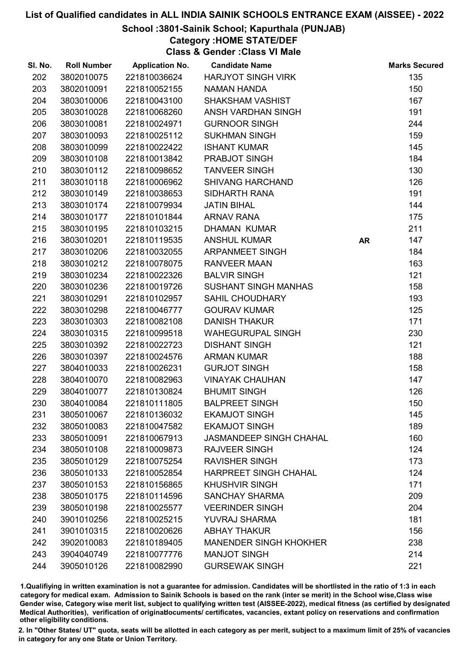## School :3801-Sainik School; Kapurthala (PUNJAB)

## Category :HOME STATE/DEF

Class & Gender :Class VI Male

| SI. No. | <b>Roll Number</b> | <b>Application No.</b> | <b>Candidate Name</b>          |           | <b>Marks Secured</b> |
|---------|--------------------|------------------------|--------------------------------|-----------|----------------------|
| 202     | 3802010075         | 221810036624           | <b>HARJYOT SINGH VIRK</b>      |           | 135                  |
| 203     | 3802010091         | 221810052155           | <b>NAMAN HANDA</b>             |           | 150                  |
| 204     | 3803010006         | 221810043100           | <b>SHAKSHAM VASHIST</b>        |           | 167                  |
| 205     | 3803010028         | 221810068260           | ANSH VARDHAN SINGH             |           | 191                  |
| 206     | 3803010081         | 221810024971           | <b>GURNOOR SINGH</b>           |           | 244                  |
| 207     | 3803010093         | 221810025112           | <b>SUKHMAN SINGH</b>           |           | 159                  |
| 208     | 3803010099         | 221810022422           | <b>ISHANT KUMAR</b>            |           | 145                  |
| 209     | 3803010108         | 221810013842           | PRABJOT SINGH                  |           | 184                  |
| 210     | 3803010112         | 221810098652           | <b>TANVEER SINGH</b>           |           | 130                  |
| 211     | 3803010118         | 221810006962           | <b>SHIVANG HARCHAND</b>        |           | 126                  |
| 212     | 3803010149         | 221810038653           | <b>SIDHARTH RANA</b>           |           | 191                  |
| 213     | 3803010174         | 221810079934           | <b>JATIN BIHAL</b>             |           | 144                  |
| 214     | 3803010177         | 221810101844           | <b>ARNAV RANA</b>              |           | 175                  |
| 215     | 3803010195         | 221810103215           | DHAMAN KUMAR                   |           | 211                  |
| 216     | 3803010201         | 221810119535           | <b>ANSHUL KUMAR</b>            | <b>AR</b> | 147                  |
| 217     | 3803010206         | 221810032055           | <b>ARPANMEET SINGH</b>         |           | 184                  |
| 218     | 3803010212         | 221810078075           | <b>RANVEER MAAN</b>            |           | 163                  |
| 219     | 3803010234         | 221810022326           | <b>BALVIR SINGH</b>            |           | 121                  |
| 220     | 3803010236         | 221810019726           | <b>SUSHANT SINGH MANHAS</b>    |           | 158                  |
| 221     | 3803010291         | 221810102957           | <b>SAHIL CHOUDHARY</b>         |           | 193                  |
| 222     | 3803010298         | 221810046777           | <b>GOURAV KUMAR</b>            |           | 125                  |
| 223     | 3803010303         | 221810082108           | <b>DANISH THAKUR</b>           |           | 171                  |
| 224     | 3803010315         | 221810099518           | <b>WAHEGURUPAL SINGH</b>       |           | 230                  |
| 225     | 3803010392         | 221810022723           | <b>DISHANT SINGH</b>           |           | 121                  |
| 226     | 3803010397         | 221810024576           | <b>ARMAN KUMAR</b>             |           | 188                  |
| 227     | 3804010033         | 221810026231           | <b>GURJOT SINGH</b>            |           | 158                  |
| 228     | 3804010070         | 221810082963           | <b>VINAYAK CHAUHAN</b>         |           | 147                  |
| 229     | 3804010077         | 221810130824           | <b>BHUMIT SINGH</b>            |           | 126                  |
| 230     | 3804010084         | 221810111805           | <b>BALPREET SINGH</b>          |           | 150                  |
| 231     | 3805010067         | 221810136032           | <b>EKAMJOT SINGH</b>           |           | 145                  |
| 232     | 3805010083         | 221810047582           | <b>EKAMJOT SINGH</b>           |           | 189                  |
| 233     | 3805010091         | 221810067913           | <b>JASMANDEEP SINGH CHAHAL</b> |           | 160                  |
| 234     | 3805010108         | 221810009873           | <b>RAJVEER SINGH</b>           |           | 124                  |
| 235     | 3805010129         | 221810075254           | <b>RAVISHER SINGH</b>          |           | 173                  |
| 236     | 3805010133         | 221810052854           | HARPREET SINGH CHAHAL          |           | 124                  |
| 237     | 3805010153         | 221810156865           | <b>KHUSHVIR SINGH</b>          |           | 171                  |
| 238     | 3805010175         | 221810114596           | <b>SANCHAY SHARMA</b>          |           | 209                  |
| 239     | 3805010198         | 221810025577           | <b>VEERINDER SINGH</b>         |           | 204                  |
| 240     | 3901010256         | 221810025215           | <b>YUVRAJ SHARMA</b>           |           | 181                  |
| 241     | 3901010315         | 221810020626           | <b>ABHAY THAKUR</b>            |           | 156                  |
| 242     | 3902010083         | 221810189405           | <b>MANENDER SINGH KHOKHER</b>  |           | 238                  |
| 243     | 3904040749         | 221810077776           | <b>MANJOT SINGH</b>            |           | 214                  |
| 244     | 3905010126         | 221810082990           | <b>GURSEWAK SINGH</b>          |           | 221                  |

1.Qualifiying in written examination is not a guarantee for admission. Candidates will be shortlisted in the ratio of 1:3 in each category for medical exam. Admission to Sainik Schools is based on the rank (inter se merit) in the School wise,Class wise Gender wise, Category wise merit list, subject to qualifying written test (AISSEE-2022), medical fitness (as certified by designated Medical Authorities), verification of originablocuments/ certificates, vacancies, extant policy on reservations and confirmation other eligibility conditions.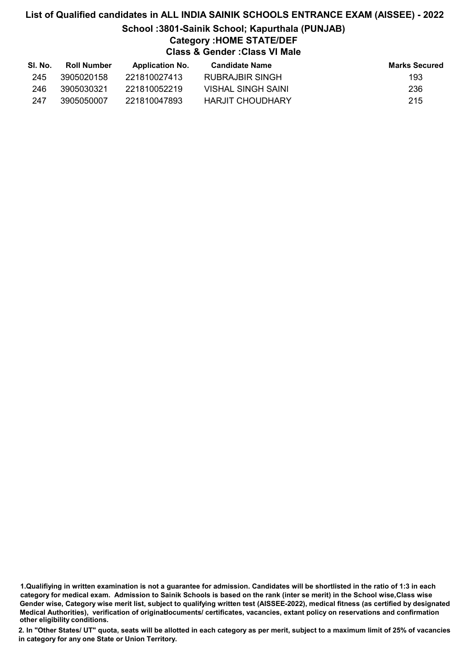## List of Qualified candidates in ALL INDIA SAINIK SCHOOLS ENTRANCE EXAM (AISSEE) - 2022 School :3801-Sainik School; Kapurthala (PUNJAB) Category :HOME STATE/DEF Class & Gender :Class VI Male

| SI. No. | <b>Roll Number</b> | <b>Application No.</b> | Candidate Name     | <b>Marks Secured</b> |
|---------|--------------------|------------------------|--------------------|----------------------|
| 245     | 3905020158         | 221810027413           | RUBRAJBIR SINGH    | 193                  |
| 246     | 3905030321         | 221810052219           | VISHAL SINGH SAINI | 236                  |
| 247     | 3905050007         | 221810047893           | HARJIT CHOUDHARY   | 215                  |

1.Qualifiying in written examination is not a guarantee for admission. Candidates will be shortlisted in the ratio of 1:3 in each category for medical exam. Admission to Sainik Schools is based on the rank (inter se merit) in the School wise,Class wise Gender wise, Category wise merit list, subject to qualifying written test (AISSEE-2022), medical fitness (as certified by designated Medical Authorities), verification of originablocuments/ certificates, vacancies, extant policy on reservations and confirmation other eligibility conditions.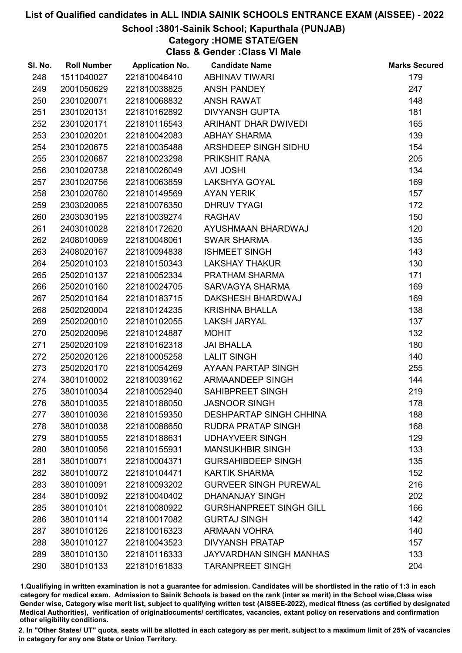## School :3801-Sainik School; Kapurthala (PUNJAB)

## Category :HOME STATE/GEN

Class & Gender :Class VI Male

| SI. No. | <b>Roll Number</b> | <b>Application No.</b> | <b>Candidate Name</b>          | <b>Marks Secured</b> |
|---------|--------------------|------------------------|--------------------------------|----------------------|
| 248     | 1511040027         | 221810046410           | <b>ABHINAV TIWARI</b>          | 179                  |
| 249     | 2001050629         | 221810038825           | <b>ANSH PANDEY</b>             | 247                  |
| 250     | 2301020071         | 221810068832           | <b>ANSH RAWAT</b>              | 148                  |
| 251     | 2301020131         | 221810162892           | <b>DIVYANSH GUPTA</b>          | 181                  |
| 252     | 2301020171         | 221810116543           | ARIHANT DHAR DWIVEDI           | 165                  |
| 253     | 2301020201         | 221810042083           | <b>ABHAY SHARMA</b>            | 139                  |
| 254     | 2301020675         | 221810035488           | ARSHDEEP SINGH SIDHU           | 154                  |
| 255     | 2301020687         | 221810023298           | PRIKSHIT RANA                  | 205                  |
| 256     | 2301020738         | 221810026049           | <b>AVI JOSHI</b>               | 134                  |
| 257     | 2301020756         | 221810063859           | LAKSHYA GOYAL                  | 169                  |
| 258     | 2301020760         | 221810149569           | <b>AYAN YERIK</b>              | 157                  |
| 259     | 2303020065         | 221810076350           | <b>DHRUV TYAGI</b>             | 172                  |
| 260     | 2303030195         | 221810039274           | <b>RAGHAV</b>                  | 150                  |
| 261     | 2403010028         | 221810172620           | AYUSHMAAN BHARDWAJ             | 120                  |
| 262     | 2408010069         | 221810048061           | <b>SWAR SHARMA</b>             | 135                  |
| 263     | 2408020167         | 221810094838           | <b>ISHMEET SINGH</b>           | 143                  |
| 264     | 2502010103         | 221810150343           | <b>LAKSHAY THAKUR</b>          | 130                  |
| 265     | 2502010137         | 221810052334           | PRATHAM SHARMA                 | 171                  |
| 266     | 2502010160         | 221810024705           | SARVAGYA SHARMA                | 169                  |
| 267     | 2502010164         | 221810183715           | DAKSHESH BHARDWAJ              | 169                  |
| 268     | 2502020004         | 221810124235           | <b>KRISHNA BHALLA</b>          | 138                  |
| 269     | 2502020010         | 221810102055           | <b>LAKSH JARYAL</b>            | 137                  |
| 270     | 2502020096         | 221810124887           | <b>MOHIT</b>                   | 132                  |
| 271     | 2502020109         | 221810162318           | <b>JAI BHALLA</b>              | 180                  |
| 272     | 2502020126         | 221810005258           | <b>LALIT SINGH</b>             | 140                  |
| 273     | 2502020170         | 221810054269           | AYAAN PARTAP SINGH             | 255                  |
| 274     | 3801010002         | 221810039162           | ARMAANDEEP SINGH               | 144                  |
| 275     | 3801010034         | 221810052940           | SAHIBPREET SINGH               | 219                  |
| 276     | 3801010035         | 221810188050           | <b>JASNOOR SINGH</b>           | 178                  |
| 277     | 3801010036         | 221810159350           | <b>DESHPARTAP SINGH CHHINA</b> | 188                  |
| 278     | 3801010038         | 221810088650           | <b>RUDRA PRATAP SINGH</b>      | 168                  |
| 279     | 3801010055         | 221810188631           | <b>UDHAYVEER SINGH</b>         | 129                  |
| 280     | 3801010056         | 221810155931           | <b>MANSUKHBIR SINGH</b>        | 133                  |
| 281     | 3801010071         | 221810004371           | <b>GURSAHIBDEEP SINGH</b>      | 135                  |
| 282     | 3801010072         | 221810104471           | <b>KARTIK SHARMA</b>           | 152                  |
| 283     | 3801010091         | 221810093202           | <b>GURVEER SINGH PUREWAL</b>   | 216                  |
| 284     | 3801010092         | 221810040402           | <b>DHANANJAY SINGH</b>         | 202                  |
| 285     | 3801010101         | 221810080922           | <b>GURSHANPREET SINGH GILL</b> | 166                  |
| 286     | 3801010114         | 221810017082           | <b>GURTAJ SINGH</b>            | 142                  |
| 287     | 3801010126         | 221810016323           | <b>ARMAAN VOHRA</b>            | 140                  |
| 288     | 3801010127         | 221810043523           | <b>DIVYANSH PRATAP</b>         | 157                  |
| 289     | 3801010130         | 221810116333           | <b>JAYVARDHAN SINGH MANHAS</b> | 133                  |
| 290     | 3801010133         | 221810161833           | <b>TARANPREET SINGH</b>        | 204                  |

1.Qualifiying in written examination is not a guarantee for admission. Candidates will be shortlisted in the ratio of 1:3 in each category for medical exam. Admission to Sainik Schools is based on the rank (inter se merit) in the School wise,Class wise Gender wise, Category wise merit list, subject to qualifying written test (AISSEE-2022), medical fitness (as certified by designated Medical Authorities), verification of originablocuments/ certificates, vacancies, extant policy on reservations and confirmation other eligibility conditions.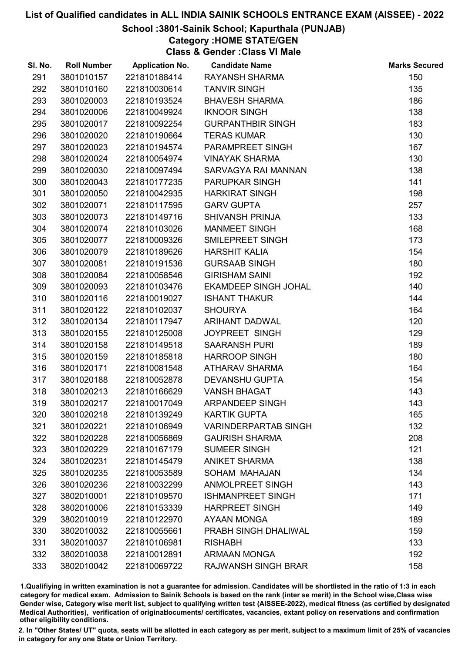## School :3801-Sainik School; Kapurthala (PUNJAB)

Category :HOME STATE/GEN

Class & Gender :Class VI Male

| SI. No. | <b>Roll Number</b> | <b>Application No.</b> | <b>Candidate Name</b>       | <b>Marks Secured</b> |
|---------|--------------------|------------------------|-----------------------------|----------------------|
| 291     | 3801010157         | 221810188414           | <b>RAYANSH SHARMA</b>       | 150                  |
| 292     | 3801010160         | 221810030614           | <b>TANVIR SINGH</b>         | 135                  |
| 293     | 3801020003         | 221810193524           | <b>BHAVESH SHARMA</b>       | 186                  |
| 294     | 3801020006         | 221810049924           | <b>IKNOOR SINGH</b>         | 138                  |
| 295     | 3801020017         | 221810092254           | <b>GURPANTHBIR SINGH</b>    | 183                  |
| 296     | 3801020020         | 221810190664           | <b>TERAS KUMAR</b>          | 130                  |
| 297     | 3801020023         | 221810194574           | PARAMPREET SINGH            | 167                  |
| 298     | 3801020024         | 221810054974           | <b>VINAYAK SHARMA</b>       | 130                  |
| 299     | 3801020030         | 221810097494           | SARVAGYA RAI MANNAN         | 138                  |
| 300     | 3801020043         | 221810177235           | PARUPKAR SINGH              | 141                  |
| 301     | 3801020050         | 221810042935           | <b>HARKIRAT SINGH</b>       | 198                  |
| 302     | 3801020071         | 221810117595           | <b>GARV GUPTA</b>           | 257                  |
| 303     | 3801020073         | 221810149716           | <b>SHIVANSH PRINJA</b>      | 133                  |
| 304     | 3801020074         | 221810103026           | <b>MANMEET SINGH</b>        | 168                  |
| 305     | 3801020077         | 221810009326           | SMILEPREET SINGH            | 173                  |
| 306     | 3801020079         | 221810189626           | <b>HARSHIT KALIA</b>        | 154                  |
| 307     | 3801020081         | 221810191536           | <b>GURSAAB SINGH</b>        | 180                  |
| 308     | 3801020084         | 221810058546           | <b>GIRISHAM SAINI</b>       | 192                  |
| 309     | 3801020093         | 221810103476           | <b>EKAMDEEP SINGH JOHAL</b> | 140                  |
| 310     | 3801020116         | 221810019027           | <b>ISHANT THAKUR</b>        | 144                  |
| 311     | 3801020122         | 221810102037           | <b>SHOURYA</b>              | 164                  |
| 312     | 3801020134         | 221810117947           | <b>ARIHANT DADWAL</b>       | 120                  |
| 313     | 3801020155         | 221810125008           | <b>JOYPREET SINGH</b>       | 129                  |
| 314     | 3801020158         | 221810149518           | <b>SAARANSH PURI</b>        | 189                  |
| 315     | 3801020159         | 221810185818           | <b>HARROOP SINGH</b>        | 180                  |
| 316     | 3801020171         | 221810081548           | ATHARAV SHARMA              | 164                  |
| 317     | 3801020188         | 221810052878           | <b>DEVANSHU GUPTA</b>       | 154                  |
| 318     | 3801020213         | 221810166629           | <b>VANSH BHAGAT</b>         | 143                  |
| 319     | 3801020217         | 221810017049           | <b>ARPANDEEP SINGH</b>      | 143                  |
| 320     | 3801020218         | 221810139249           | <b>KARTIK GUPTA</b>         | 165                  |
| 321     | 3801020221         | 221810106949           | <b>VARINDERPARTAB SINGH</b> | 132                  |
| 322     | 3801020228         | 221810056869           | <b>GAURISH SHARMA</b>       | 208                  |
| 323     | 3801020229         | 221810167179           | <b>SUMEER SINGH</b>         | 121                  |
| 324     | 3801020231         | 221810145479           | <b>ANIKET SHARMA</b>        | 138                  |
| 325     | 3801020235         | 221810053589           | SOHAM MAHAJAN               | 134                  |
| 326     | 3801020236         | 221810032299           | <b>ANMOLPREET SINGH</b>     | 143                  |
| 327     | 3802010001         | 221810109570           | <b>ISHMANPREET SINGH</b>    | 171                  |
| 328     | 3802010006         | 221810153339           | <b>HARPREET SINGH</b>       | 149                  |
| 329     | 3802010019         | 221810122970           | AYAAN MONGA                 | 189                  |
| 330     | 3802010032         | 221810055661           | PRABH SINGH DHALIWAL        | 159                  |
| 331     | 3802010037         | 221810106981           | <b>RISHABH</b>              | 133                  |
| 332     | 3802010038         | 221810012891           | <b>ARMAAN MONGA</b>         | 192                  |
| 333     | 3802010042         | 221810069722           | <b>RAJWANSH SINGH BRAR</b>  | 158                  |

1.Qualifiying in written examination is not a guarantee for admission. Candidates will be shortlisted in the ratio of 1:3 in each category for medical exam. Admission to Sainik Schools is based on the rank (inter se merit) in the School wise,Class wise Gender wise, Category wise merit list, subject to qualifying written test (AISSEE-2022), medical fitness (as certified by designated Medical Authorities), verification of originablocuments/ certificates, vacancies, extant policy on reservations and confirmation other eligibility conditions.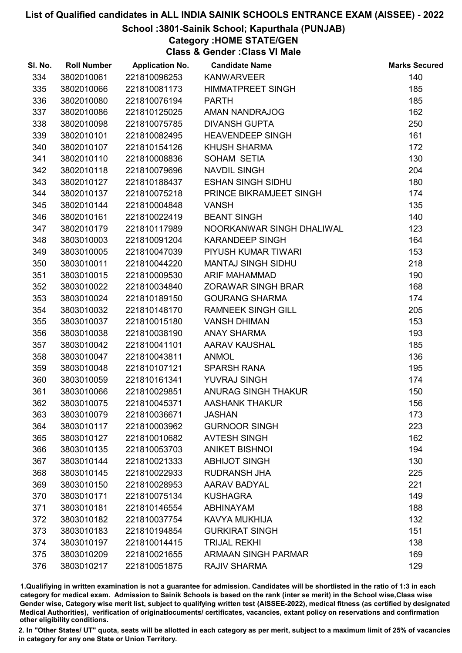## School :3801-Sainik School; Kapurthala (PUNJAB)

## Category :HOME STATE/GEN

Class & Gender :Class VI Male

| SI. No. | <b>Roll Number</b> | <b>Application No.</b> | <b>Candidate Name</b>      | <b>Marks Secured</b> |
|---------|--------------------|------------------------|----------------------------|----------------------|
| 334     | 3802010061         | 221810096253           | <b>KANWARVEER</b>          | 140                  |
| 335     | 3802010066         | 221810081173           | <b>HIMMATPREET SINGH</b>   | 185                  |
| 336     | 3802010080         | 221810076194           | <b>PARTH</b>               | 185                  |
| 337     | 3802010086         | 221810125025           | AMAN NANDRAJOG             | 162                  |
| 338     | 3802010098         | 221810075785           | <b>DIVANSH GUPTA</b>       | 250                  |
| 339     | 3802010101         | 221810082495           | <b>HEAVENDEEP SINGH</b>    | 161                  |
| 340     | 3802010107         | 221810154126           | <b>KHUSH SHARMA</b>        | 172                  |
| 341     | 3802010110         | 221810008836           | SOHAM SETIA                | 130                  |
| 342     | 3802010118         | 221810079696           | <b>NAVDIL SINGH</b>        | 204                  |
| 343     | 3802010127         | 221810188437           | <b>ESHAN SINGH SIDHU</b>   | 180                  |
| 344     | 3802010137         | 221810075218           | PRINCE BIKRAMJEET SINGH    | 174                  |
| 345     | 3802010144         | 221810004848           | <b>VANSH</b>               | 135                  |
| 346     | 3802010161         | 221810022419           | <b>BEANT SINGH</b>         | 140                  |
| 347     | 3802010179         | 221810117989           | NOORKANWAR SINGH DHALIWAL  | 123                  |
| 348     | 3803010003         | 221810091204           | <b>KARANDEEP SINGH</b>     | 164                  |
| 349     | 3803010005         | 221810047039           | PIYUSH KUMAR TIWARI        | 153                  |
| 350     | 3803010011         | 221810044220           | <b>MANTAJ SINGH SIDHU</b>  | 218                  |
| 351     | 3803010015         | 221810009530           | <b>ARIF MAHAMMAD</b>       | 190                  |
| 352     | 3803010022         | 221810034840           | <b>ZORAWAR SINGH BRAR</b>  | 168                  |
| 353     | 3803010024         | 221810189150           | <b>GOURANG SHARMA</b>      | 174                  |
| 354     | 3803010032         | 221810148170           | <b>RAMNEEK SINGH GILL</b>  | 205                  |
| 355     | 3803010037         | 221810015180           | <b>VANSH DHIMAN</b>        | 153                  |
| 356     | 3803010038         | 221810038190           | <b>ANAY SHARMA</b>         | 193                  |
| 357     | 3803010042         | 221810041101           | AARAV KAUSHAL              | 185                  |
| 358     | 3803010047         | 221810043811           | <b>ANMOL</b>               | 136                  |
| 359     | 3803010048         | 221810107121           | <b>SPARSH RANA</b>         | 195                  |
| 360     | 3803010059         | 221810161341           | YUVRAJ SINGH               | 174                  |
| 361     | 3803010066         | 221810029851           | ANURAG SINGH THAKUR        | 150                  |
| 362     | 3803010075         | 221810045371           | <b>AASHANK THAKUR</b>      | 156                  |
| 363     | 3803010079         | 221810036671           | <b>JASHAN</b>              | 173                  |
| 364     | 3803010117         | 221810003962           | <b>GURNOOR SINGH</b>       | 223                  |
| 365     | 3803010127         | 221810010682           | <b>AVTESH SINGH</b>        | 162                  |
| 366     | 3803010135         | 221810053703           | <b>ANIKET BISHNOI</b>      | 194                  |
| 367     | 3803010144         | 221810021333           | <b>ABHIJOT SINGH</b>       | 130                  |
| 368     | 3803010145         | 221810022933           | <b>RUDRANSH JHA</b>        | 225                  |
| 369     | 3803010150         | 221810028953           | <b>AARAV BADYAL</b>        | 221                  |
| 370     | 3803010171         | 221810075134           | <b>KUSHAGRA</b>            | 149                  |
| 371     | 3803010181         | 221810146554           | <b>ABHINAYAM</b>           | 188                  |
| 372     | 3803010182         | 221810037754           | KAVYA MUKHIJA              | 132                  |
| 373     | 3803010183         | 221810194854           | <b>GURKIRAT SINGH</b>      | 151                  |
| 374     | 3803010197         | 221810014415           | <b>TRIJAL REKHI</b>        | 138                  |
| 375     | 3803010209         | 221810021655           | <b>ARMAAN SINGH PARMAR</b> | 169                  |
| 376     | 3803010217         | 221810051875           | <b>RAJIV SHARMA</b>        | 129                  |

1.Qualifiying in written examination is not a guarantee for admission. Candidates will be shortlisted in the ratio of 1:3 in each category for medical exam. Admission to Sainik Schools is based on the rank (inter se merit) in the School wise,Class wise Gender wise, Category wise merit list, subject to qualifying written test (AISSEE-2022), medical fitness (as certified by designated Medical Authorities), verification of originablocuments/ certificates, vacancies, extant policy on reservations and confirmation other eligibility conditions.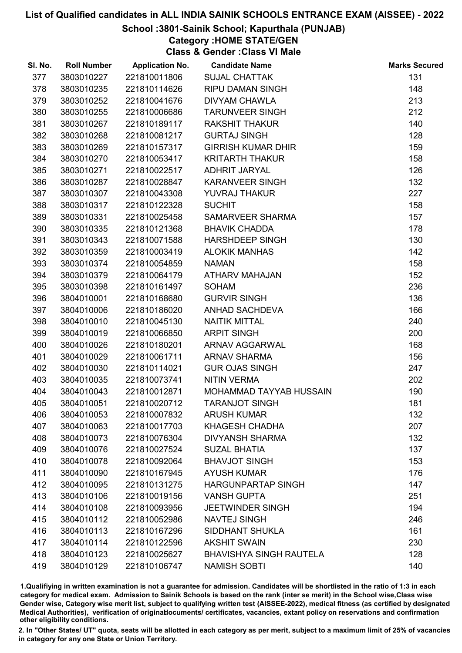## School :3801-Sainik School; Kapurthala (PUNJAB)

Category :HOME STATE/GEN

Class & Gender :Class VI Male

| SI. No. | <b>Roll Number</b> | <b>Application No.</b> | <b>Candidate Name</b>          | <b>Marks Secured</b> |
|---------|--------------------|------------------------|--------------------------------|----------------------|
| 377     | 3803010227         | 221810011806           | <b>SUJAL CHATTAK</b>           | 131                  |
| 378     | 3803010235         | 221810114626           | <b>RIPU DAMAN SINGH</b>        | 148                  |
| 379     | 3803010252         | 221810041676           | <b>DIVYAM CHAWLA</b>           | 213                  |
| 380     | 3803010255         | 221810006686           | <b>TARUNVEER SINGH</b>         | 212                  |
| 381     | 3803010267         | 221810189117           | <b>RAKSHIT THAKUR</b>          | 140                  |
| 382     | 3803010268         | 221810081217           | <b>GURTAJ SINGH</b>            | 128                  |
| 383     | 3803010269         | 221810157317           | <b>GIRRISH KUMAR DHIR</b>      | 159                  |
| 384     | 3803010270         | 221810053417           | <b>KRITARTH THAKUR</b>         | 158                  |
| 385     | 3803010271         | 221810022517           | ADHRIT JARYAL                  | 126                  |
| 386     | 3803010287         | 221810028847           | <b>KARANVEER SINGH</b>         | 132                  |
| 387     | 3803010307         | 221810043308           | <b>YUVRAJ THAKUR</b>           | 227                  |
| 388     | 3803010317         | 221810122328           | <b>SUCHIT</b>                  | 158                  |
| 389     | 3803010331         | 221810025458           | SAMARVEER SHARMA               | 157                  |
| 390     | 3803010335         | 221810121368           | <b>BHAVIK CHADDA</b>           | 178                  |
| 391     | 3803010343         | 221810071588           | <b>HARSHDEEP SINGH</b>         | 130                  |
| 392     | 3803010359         | 221810003419           | <b>ALOKIK MANHAS</b>           | 142                  |
| 393     | 3803010374         | 221810054859           | <b>NAMAN</b>                   | 158                  |
| 394     | 3803010379         | 221810064179           | <b>ATHARV MAHAJAN</b>          | 152                  |
| 395     | 3803010398         | 221810161497           | <b>SOHAM</b>                   | 236                  |
| 396     | 3804010001         | 221810168680           | <b>GURVIR SINGH</b>            | 136                  |
| 397     | 3804010006         | 221810186020           | ANHAD SACHDEVA                 | 166                  |
| 398     | 3804010010         | 221810045130           | <b>NAITIK MITTAL</b>           | 240                  |
| 399     | 3804010019         | 221810066850           | <b>ARPIT SINGH</b>             | 200                  |
| 400     | 3804010026         | 221810180201           | <b>ARNAV AGGARWAL</b>          | 168                  |
| 401     | 3804010029         | 221810061711           | <b>ARNAV SHARMA</b>            | 156                  |
| 402     | 3804010030         | 221810114021           | <b>GUR OJAS SINGH</b>          | 247                  |
| 403     | 3804010035         | 221810073741           | <b>NITIN VERMA</b>             | 202                  |
| 404     | 3804010043         | 221810012871           | MOHAMMAD TAYYAB HUSSAIN        | 190                  |
| 405     | 3804010051         | 221810020712           | <b>TARANJOT SINGH</b>          | 181                  |
| 406     | 3804010053         | 221810007832           | <b>ARUSH KUMAR</b>             | 132                  |
| 407     | 3804010063         | 221810017703           | <b>KHAGESH CHADHA</b>          | 207                  |
| 408     | 3804010073         | 221810076304           | <b>DIVYANSH SHARMA</b>         | 132                  |
| 409     | 3804010076         | 221810027524           | <b>SUZAL BHATIA</b>            | 137                  |
| 410     | 3804010078         | 221810092064           | <b>BHAVJOT SINGH</b>           | 153                  |
| 411     | 3804010090         | 221810167945           | <b>AYUSH KUMAR</b>             | 176                  |
| 412     | 3804010095         | 221810131275           | <b>HARGUNPARTAP SINGH</b>      | 147                  |
| 413     | 3804010106         | 221810019156           | <b>VANSH GUPTA</b>             | 251                  |
| 414     | 3804010108         | 221810093956           | <b>JEETWINDER SINGH</b>        | 194                  |
| 415     | 3804010112         | 221810052986           | <b>NAVTEJ SINGH</b>            | 246                  |
| 416     | 3804010113         | 221810167296           | SIDDHANT SHUKLA                | 161                  |
| 417     | 3804010114         | 221810122596           | <b>AKSHIT SWAIN</b>            | 230                  |
| 418     | 3804010123         | 221810025627           | <b>BHAVISHYA SINGH RAUTELA</b> | 128                  |
| 419     | 3804010129         | 221810106747           | <b>NAMISH SOBTI</b>            | 140                  |

1.Qualifiying in written examination is not a guarantee for admission. Candidates will be shortlisted in the ratio of 1:3 in each category for medical exam. Admission to Sainik Schools is based on the rank (inter se merit) in the School wise,Class wise Gender wise, Category wise merit list, subject to qualifying written test (AISSEE-2022), medical fitness (as certified by designated Medical Authorities), verification of originablocuments/ certificates, vacancies, extant policy on reservations and confirmation other eligibility conditions.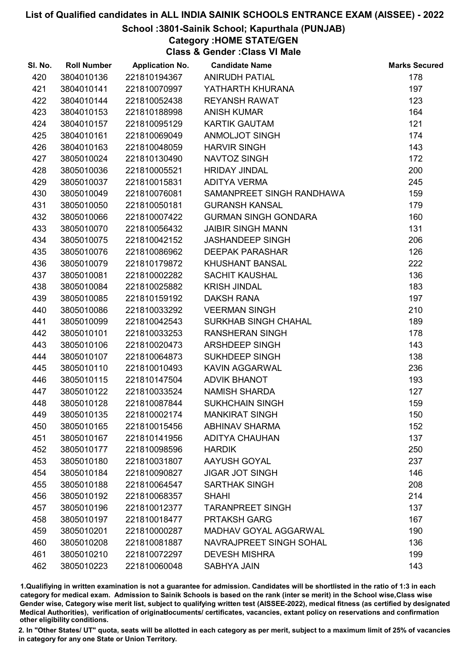## School :3801-Sainik School; Kapurthala (PUNJAB)

Category :HOME STATE/GEN

Class & Gender :Class VI Male

| SI. No. | <b>Roll Number</b> | <b>Application No.</b> | <b>Candidate Name</b>       | <b>Marks Secured</b> |
|---------|--------------------|------------------------|-----------------------------|----------------------|
| 420     | 3804010136         | 221810194367           | <b>ANIRUDH PATIAL</b>       | 178                  |
| 421     | 3804010141         | 221810070997           | YATHARTH KHURANA            | 197                  |
| 422     | 3804010144         | 221810052438           | <b>REYANSH RAWAT</b>        | 123                  |
| 423     | 3804010153         | 221810188998           | <b>ANISH KUMAR</b>          | 164                  |
| 424     | 3804010157         | 221810095129           | <b>KARTIK GAUTAM</b>        | 121                  |
| 425     | 3804010161         | 221810069049           | <b>ANMOLJOT SINGH</b>       | 174                  |
| 426     | 3804010163         | 221810048059           | <b>HARVIR SINGH</b>         | 143                  |
| 427     | 3805010024         | 221810130490           | NAVTOZ SINGH                | 172                  |
| 428     | 3805010036         | 221810005521           | <b>HRIDAY JINDAL</b>        | 200                  |
| 429     | 3805010037         | 221810015831           | <b>ADITYA VERMA</b>         | 245                  |
| 430     | 3805010049         | 221810076081           | SAMANPREET SINGH RANDHAWA   | 159                  |
| 431     | 3805010050         | 221810050181           | <b>GURANSH KANSAL</b>       | 179                  |
| 432     | 3805010066         | 221810007422           | <b>GURMAN SINGH GONDARA</b> | 160                  |
| 433     | 3805010070         | 221810056432           | <b>JAIBIR SINGH MANN</b>    | 131                  |
| 434     | 3805010075         | 221810042152           | <b>JASHANDEEP SINGH</b>     | 206                  |
| 435     | 3805010076         | 221810086962           | <b>DEEPAK PARASHAR</b>      | 126                  |
| 436     | 3805010079         | 221810179872           | <b>KHUSHANT BANSAL</b>      | 222                  |
| 437     | 3805010081         | 221810002282           | <b>SACHIT KAUSHAL</b>       | 136                  |
| 438     | 3805010084         | 221810025882           | <b>KRISH JINDAL</b>         | 183                  |
| 439     | 3805010085         | 221810159192           | <b>DAKSH RANA</b>           | 197                  |
| 440     | 3805010086         | 221810033292           | <b>VEERMAN SINGH</b>        | 210                  |
| 441     | 3805010099         | 221810042543           | SURKHAB SINGH CHAHAL        | 189                  |
| 442     | 3805010101         | 221810033253           | <b>RANSHERAN SINGH</b>      | 178                  |
| 443     | 3805010106         | 221810020473           | ARSHDEEP SINGH              | 143                  |
| 444     | 3805010107         | 221810064873           | SUKHDEEP SINGH              | 138                  |
| 445     | 3805010110         | 221810010493           | KAVIN AGGARWAL              | 236                  |
| 446     | 3805010115         | 221810147504           | <b>ADVIK BHANOT</b>         | 193                  |
| 447     | 3805010122         | 221810033524           | <b>NAMISH SHARDA</b>        | 127                  |
| 448     | 3805010128         | 221810087844           | <b>SUKHCHAIN SINGH</b>      | 159                  |
| 449     | 3805010135         | 221810002174           | <b>MANKIRAT SINGH</b>       | 150                  |
| 450     | 3805010165         | 221810015456           | <b>ABHINAV SHARMA</b>       | 152                  |
| 451     | 3805010167         | 221810141956           | <b>ADITYA CHAUHAN</b>       | 137                  |
| 452     | 3805010177         | 221810098596           | <b>HARDIK</b>               | 250                  |
| 453     | 3805010180         | 221810031807           | <b>AAYUSH GOYAL</b>         | 237                  |
| 454     | 3805010184         | 221810090827           | <b>JIGAR JOT SINGH</b>      | 146                  |
| 455     | 3805010188         | 221810064547           | <b>SARTHAK SINGH</b>        | 208                  |
| 456     | 3805010192         | 221810068357           | <b>SHAHI</b>                | 214                  |
| 457     | 3805010196         | 221810012377           | <b>TARANPREET SINGH</b>     | 137                  |
| 458     | 3805010197         | 221810018477           | <b>PRTAKSH GARG</b>         | 167                  |
| 459     | 3805010201         | 221810000287           | MADHAV GOYAL AGGARWAL       | 190                  |
| 460     | 3805010208         | 221810081887           | NAVRAJPREET SINGH SOHAL     | 136                  |
| 461     | 3805010210         | 221810072297           | <b>DEVESH MISHRA</b>        | 199                  |
| 462     | 3805010223         | 221810060048           | SABHYA JAIN                 | 143                  |

1.Qualifiying in written examination is not a guarantee for admission. Candidates will be shortlisted in the ratio of 1:3 in each category for medical exam. Admission to Sainik Schools is based on the rank (inter se merit) in the School wise,Class wise Gender wise, Category wise merit list, subject to qualifying written test (AISSEE-2022), medical fitness (as certified by designated Medical Authorities), verification of originablocuments/ certificates, vacancies, extant policy on reservations and confirmation other eligibility conditions.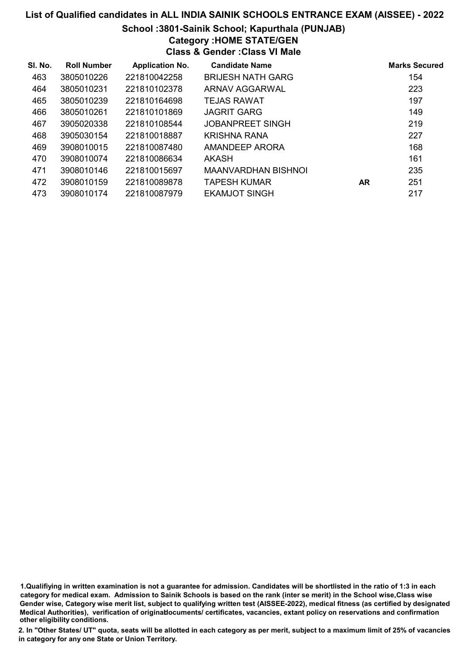## List of Qualified candidates in ALL INDIA SAINIK SCHOOLS ENTRANCE EXAM (AISSEE) - 2022 School :3801-Sainik School; Kapurthala (PUNJAB)

# Category :HOME STATE/GEN

Class & Gender :Class VI Male

| SI. No. | <b>Roll Number</b> | <b>Application No.</b> | <b>Candidate Name</b>      |           | <b>Marks Secured</b> |
|---------|--------------------|------------------------|----------------------------|-----------|----------------------|
| 463     | 3805010226         | 221810042258           | <b>BRIJESH NATH GARG</b>   |           | 154                  |
| 464     | 3805010231         | 221810102378           | ARNAV AGGARWAL             |           | 223                  |
| 465     | 3805010239         | 221810164698           | <b>TEJAS RAWAT</b>         |           | 197                  |
| 466     | 3805010261         | 221810101869           | <b>JAGRIT GARG</b>         |           | 149                  |
| 467     | 3905020338         | 221810108544           | <b>JOBANPREET SINGH</b>    |           | 219                  |
| 468     | 3905030154         | 221810018887           | <b>KRISHNA RANA</b>        |           | 227                  |
| 469     | 3908010015         | 221810087480           | AMANDEEP ARORA             |           | 168                  |
| 470     | 3908010074         | 221810086634           | AKASH                      |           | 161                  |
| 471     | 3908010146         | 221810015697           | <b>MAANVARDHAN BISHNOL</b> |           | 235                  |
| 472     | 3908010159         | 221810089878           | <b>TAPESH KUMAR</b>        | <b>AR</b> | 251                  |
| 473     | 3908010174         | 221810087979           | EKAMJOT SINGH              |           | 217                  |

<sup>1.</sup>Qualifiying in written examination is not a guarantee for admission. Candidates will be shortlisted in the ratio of 1:3 in each category for medical exam. Admission to Sainik Schools is based on the rank (inter se merit) in the School wise,Class wise Gender wise, Category wise merit list, subject to qualifying written test (AISSEE-2022), medical fitness (as certified by designated Medical Authorities), verification of originablocuments/ certificates, vacancies, extant policy on reservations and confirmation other eligibility conditions.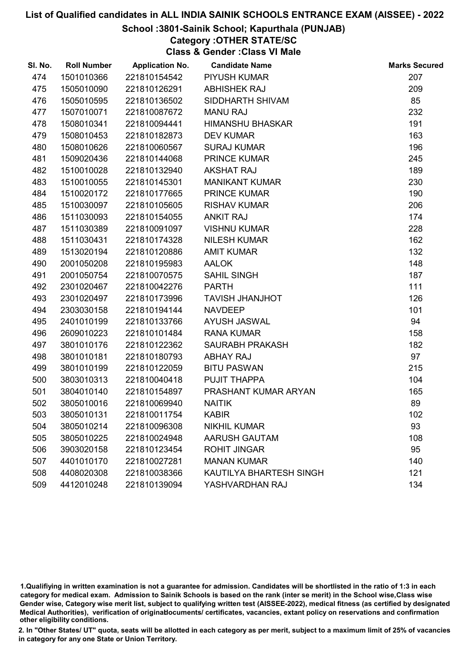#### School :3801-Sainik School; Kapurthala (PUNJAB)

Category :OTHER STATE/SC

Class & Gender :Class VI Male

| SI. No. | <b>Roll Number</b> | <b>Application No.</b> | <b>Candidate Name</b>   | <b>Marks Secured</b> |
|---------|--------------------|------------------------|-------------------------|----------------------|
| 474     | 1501010366         | 221810154542           | <b>PIYUSH KUMAR</b>     | 207                  |
| 475     | 1505010090         | 221810126291           | <b>ABHISHEK RAJ</b>     | 209                  |
| 476     | 1505010595         | 221810136502           | SIDDHARTH SHIVAM        | 85                   |
| 477     | 1507010071         | 221810087672           | <b>MANU RAJ</b>         | 232                  |
| 478     | 1508010341         | 221810094441           | <b>HIMANSHU BHASKAR</b> | 191                  |
| 479     | 1508010453         | 221810182873           | <b>DEV KUMAR</b>        | 163                  |
| 480     | 1508010626         | 221810060567           | <b>SURAJ KUMAR</b>      | 196                  |
| 481     | 1509020436         | 221810144068           | <b>PRINCE KUMAR</b>     | 245                  |
| 482     | 1510010028         | 221810132940           | <b>AKSHAT RAJ</b>       | 189                  |
| 483     | 1510010055         | 221810145301           | <b>MANIKANT KUMAR</b>   | 230                  |
| 484     | 1510020172         | 221810177665           | <b>PRINCE KUMAR</b>     | 190                  |
| 485     | 1510030097         | 221810105605           | <b>RISHAV KUMAR</b>     | 206                  |
| 486     | 1511030093         | 221810154055           | <b>ANKIT RAJ</b>        | 174                  |
| 487     | 1511030389         | 221810091097           | <b>VISHNU KUMAR</b>     | 228                  |
| 488     | 1511030431         | 221810174328           | <b>NILESH KUMAR</b>     | 162                  |
| 489     | 1513020194         | 221810120886           | <b>AMIT KUMAR</b>       | 132                  |
| 490     | 2001050208         | 221810195983           | AALOK                   | 148                  |
| 491     | 2001050754         | 221810070575           | <b>SAHIL SINGH</b>      | 187                  |
| 492     | 2301020467         | 221810042276           | <b>PARTH</b>            | 111                  |
| 493     | 2301020497         | 221810173996           | <b>TAVISH JHANJHOT</b>  | 126                  |
| 494     | 2303030158         | 221810194144           | <b>NAVDEEP</b>          | 101                  |
| 495     | 2401010199         | 221810133766           | <b>AYUSH JASWAL</b>     | 94                   |
| 496     | 2609010223         | 221810101484           | <b>RANA KUMAR</b>       | 158                  |
| 497     | 3801010176         | 221810122362           | <b>SAURABH PRAKASH</b>  | 182                  |
| 498     | 3801010181         | 221810180793           | <b>ABHAY RAJ</b>        | 97                   |
| 499     | 3801010199         | 221810122059           | <b>BITU PASWAN</b>      | 215                  |
| 500     | 3803010313         | 221810040418           | PUJIT THAPPA            | 104                  |
| 501     | 3804010140         | 221810154897           | PRASHANT KUMAR ARYAN    | 165                  |
| 502     | 3805010016         | 221810069940           | <b>NAITIK</b>           | 89                   |
| 503     | 3805010131         | 221810011754           | <b>KABIR</b>            | 102                  |
| 504     | 3805010214         | 221810096308           | <b>NIKHIL KUMAR</b>     | 93                   |
| 505     | 3805010225         | 221810024948           | <b>AARUSH GAUTAM</b>    | 108                  |
| 506     | 3903020158         | 221810123454           | <b>ROHIT JINGAR</b>     | 95                   |
| 507     | 4401010170         | 221810027281           | <b>MANAN KUMAR</b>      | 140                  |
| 508     | 4408020308         | 221810038366           | KAUTILYA BHARTESH SINGH | 121                  |
| 509     | 4412010248         | 221810139094           | YASHVARDHAN RAJ         | 134                  |

1.Qualifiying in written examination is not a guarantee for admission. Candidates will be shortlisted in the ratio of 1:3 in each category for medical exam. Admission to Sainik Schools is based on the rank (inter se merit) in the School wise,Class wise Gender wise, Category wise merit list, subject to qualifying written test (AISSEE-2022), medical fitness (as certified by designated Medical Authorities), verification of originablocuments/ certificates, vacancies, extant policy on reservations and confirmation other eligibility conditions.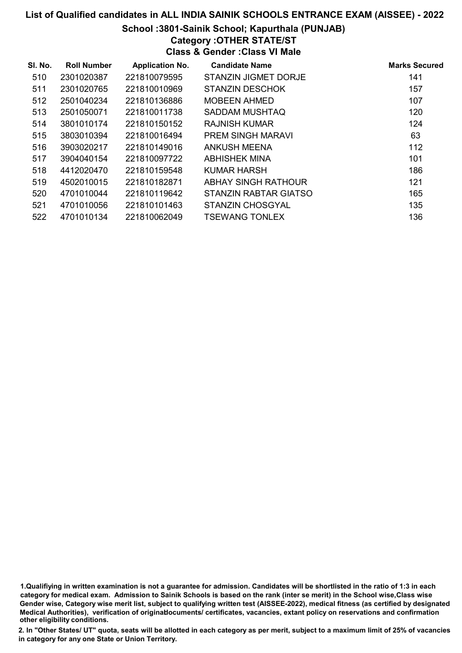#### School :3801-Sainik School; Kapurthala (PUNJAB)

Category :OTHER STATE/ST

Class & Gender :Class VI Male

| SI. No. | <b>Roll Number</b> | <b>Application No.</b> | <b>Candidate Name</b>       | <b>Marks Secured</b> |
|---------|--------------------|------------------------|-----------------------------|----------------------|
| 510     | 2301020387         | 221810079595           | <b>STANZIN JIGMET DORJE</b> | 141                  |
| 511     | 2301020765         | 221810010969           | <b>STANZIN DESCHOK</b>      | 157                  |
| 512     | 2501040234         | 221810136886           | <b>MOBEEN AHMED</b>         | 107                  |
| 513     | 2501050071         | 221810011738           | <b>SADDAM MUSHTAQ</b>       | 120                  |
| 514     | 3801010174         | 221810150152           | RAJNISH KUMAR               | 124                  |
| 515     | 3803010394         | 221810016494           | <b>PREM SINGH MARAVI</b>    | 63                   |
| 516     | 3903020217         | 221810149016           | <b>ANKUSH MEENA</b>         | 112                  |
| 517     | 3904040154         | 221810097722           | <b>ABHISHEK MINA</b>        | 101                  |
| 518     | 4412020470         | 221810159548           | KUMAR HARSH                 | 186                  |
| 519     | 4502010015         | 221810182871           | ABHAY SINGH RATHOUR         | 121                  |
| 520     | 4701010044         | 221810119642           | STANZIN RABTAR GIATSO       | 165                  |
| 521     | 4701010056         | 221810101463           | <b>STANZIN CHOSGYAL</b>     | 135                  |
| 522     | 4701010134         | 221810062049           | <b>TSEWANG TONLEX</b>       | 136                  |

1.Qualifiying in written examination is not a guarantee for admission. Candidates will be shortlisted in the ratio of 1:3 in each category for medical exam. Admission to Sainik Schools is based on the rank (inter se merit) in the School wise,Class wise Gender wise, Category wise merit list, subject to qualifying written test (AISSEE-2022), medical fitness (as certified by designated Medical Authorities), verification of originablocuments/ certificates, vacancies, extant policy on reservations and confirmation other eligibility conditions.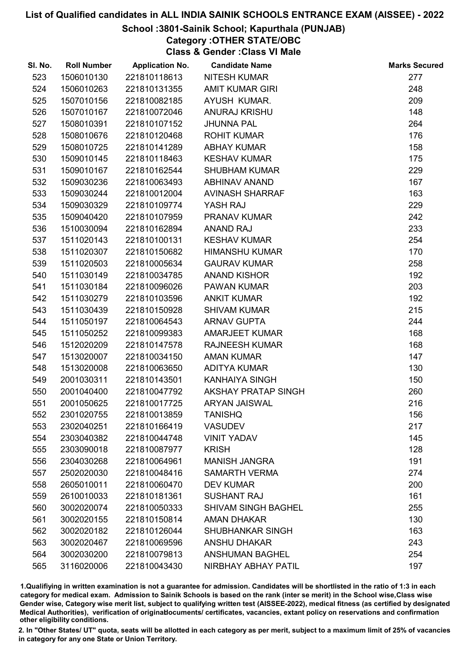## School :3801-Sainik School; Kapurthala (PUNJAB)

Category :OTHER STATE/OBC

Class & Gender :Class VI Male

| SI. No. | <b>Roll Number</b> | <b>Application No.</b> | <b>Candidate Name</b>      | <b>Marks Secured</b> |
|---------|--------------------|------------------------|----------------------------|----------------------|
| 523     | 1506010130         | 221810118613           | <b>NITESH KUMAR</b>        | 277                  |
| 524     | 1506010263         | 221810131355           | <b>AMIT KUMAR GIRI</b>     | 248                  |
| 525     | 1507010156         | 221810082185           | AYUSH KUMAR.               | 209                  |
| 526     | 1507010167         | 221810072046           | <b>ANURAJ KRISHU</b>       | 148                  |
| 527     | 1508010391         | 221810107152           | <b>JHUNNA PAL</b>          | 264                  |
| 528     | 1508010676         | 221810120468           | <b>ROHIT KUMAR</b>         | 176                  |
| 529     | 1508010725         | 221810141289           | <b>ABHAY KUMAR</b>         | 158                  |
| 530     | 1509010145         | 221810118463           | <b>KESHAV KUMAR</b>        | 175                  |
| 531     | 1509010167         | 221810162544           | <b>SHUBHAM KUMAR</b>       | 229                  |
| 532     | 1509030236         | 221810063493           | <b>ABHINAV ANAND</b>       | 167                  |
| 533     | 1509030244         | 221810012004           | <b>AVINASH SHARRAF</b>     | 163                  |
| 534     | 1509030329         | 221810109774           | YASH RAJ                   | 229                  |
| 535     | 1509040420         | 221810107959           | <b>PRANAV KUMAR</b>        | 242                  |
| 536     | 1510030094         | 221810162894           | <b>ANAND RAJ</b>           | 233                  |
| 537     | 1511020143         | 221810100131           | <b>KESHAV KUMAR</b>        | 254                  |
| 538     | 1511020307         | 221810150682           | <b>HIMANSHU KUMAR</b>      | 170                  |
| 539     | 1511020503         | 221810005634           | <b>GAURAV KUMAR</b>        | 258                  |
| 540     | 1511030149         | 221810034785           | <b>ANAND KISHOR</b>        | 192                  |
| 541     | 1511030184         | 221810096026           | <b>PAWAN KUMAR</b>         | 203                  |
| 542     | 1511030279         | 221810103596           | <b>ANKIT KUMAR</b>         | 192                  |
| 543     | 1511030439         | 221810150928           | <b>SHIVAM KUMAR</b>        | 215                  |
| 544     | 1511050197         | 221810064543           | <b>ARNAV GUPTA</b>         | 244                  |
| 545     | 1511050252         | 221810099383           | <b>AMARJEET KUMAR</b>      | 168                  |
| 546     | 1512020209         | 221810147578           | <b>RAJNEESH KUMAR</b>      | 168                  |
| 547     | 1513020007         | 221810034150           | <b>AMAN KUMAR</b>          | 147                  |
| 548     | 1513020008         | 221810063650           | <b>ADITYA KUMAR</b>        | 130                  |
| 549     | 2001030311         | 221810143501           | <b>KANHAIYA SINGH</b>      | 150                  |
| 550     | 2001040400         | 221810047792           | <b>AKSHAY PRATAP SINGH</b> | 260                  |
| 551     | 2001050625         | 221810017725           | <b>ARYAN JAISWAL</b>       | 216                  |
| 552     | 2301020755         | 221810013859           | <b>TANISHQ</b>             | 156                  |
| 553     | 2302040251         | 221810166419           | <b>VASUDEV</b>             | 217                  |
| 554     | 2303040382         | 221810044748           | <b>VINIT YADAV</b>         | 145                  |
| 555     | 2303090018         | 221810087977           | <b>KRISH</b>               | 128                  |
| 556     | 2304030268         | 221810064961           | <b>MANISH JANGRA</b>       | 191                  |
| 557     | 2502020030         | 221810048416           | <b>SAMARTH VERMA</b>       | 274                  |
| 558     | 2605010011         | 221810060470           | <b>DEV KUMAR</b>           | 200                  |
| 559     | 2610010033         | 221810181361           | <b>SUSHANT RAJ</b>         | 161                  |
| 560     | 3002020074         | 221810050333           | <b>SHIVAM SINGH BAGHEL</b> | 255                  |
| 561     | 3002020155         | 221810150814           | <b>AMAN DHAKAR</b>         | 130                  |
| 562     | 3002020182         | 221810126044           | <b>SHUBHANKAR SINGH</b>    | 163                  |
| 563     | 3002020467         | 221810069596           | <b>ANSHU DHAKAR</b>        | 243                  |
| 564     | 3002030200         | 221810079813           | <b>ANSHUMAN BAGHEL</b>     | 254                  |
| 565     | 3116020006         | 221810043430           | NIRBHAY ABHAY PATIL        | 197                  |

1.Qualifiying in written examination is not a guarantee for admission. Candidates will be shortlisted in the ratio of 1:3 in each category for medical exam. Admission to Sainik Schools is based on the rank (inter se merit) in the School wise,Class wise Gender wise, Category wise merit list, subject to qualifying written test (AISSEE-2022), medical fitness (as certified by designated Medical Authorities), verification of originablocuments/ certificates, vacancies, extant policy on reservations and confirmation other eligibility conditions.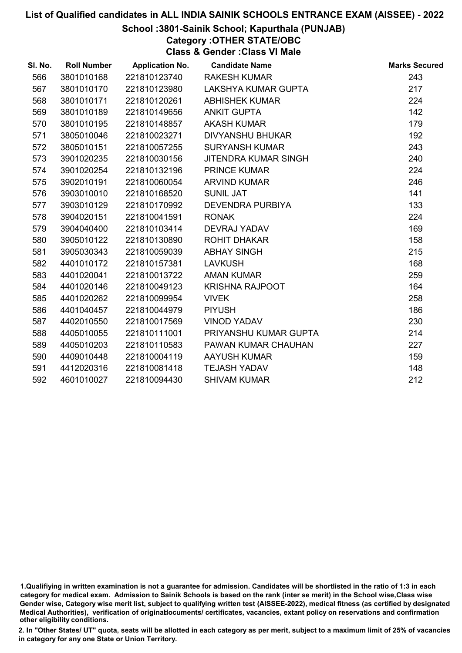## School :3801-Sainik School; Kapurthala (PUNJAB)

Category :OTHER STATE/OBC

Class & Gender :Class VI Male

| SI. No. | <b>Roll Number</b> | <b>Application No.</b> | <b>Candidate Name</b>   | <b>Marks Secured</b> |
|---------|--------------------|------------------------|-------------------------|----------------------|
| 566     | 3801010168         | 221810123740           | <b>RAKESH KUMAR</b>     | 243                  |
| 567     | 3801010170         | 221810123980           | LAKSHYA KUMAR GUPTA     | 217                  |
| 568     | 3801010171         | 221810120261           | <b>ABHISHEK KUMAR</b>   | 224                  |
| 569     | 3801010189         | 221810149656           | <b>ANKIT GUPTA</b>      | 142                  |
| 570     | 3801010195         | 221810148857           | <b>AKASH KUMAR</b>      | 179                  |
| 571     | 3805010046         | 221810023271           | <b>DIVYANSHU BHUKAR</b> | 192                  |
| 572     | 3805010151         | 221810057255           | <b>SURYANSH KUMAR</b>   | 243                  |
| 573     | 3901020235         | 221810030156           | JITENDRA KUMAR SINGH    | 240                  |
| 574     | 3901020254         | 221810132196           | <b>PRINCE KUMAR</b>     | 224                  |
| 575     | 3902010191         | 221810060054           | <b>ARVIND KUMAR</b>     | 246                  |
| 576     | 3903010010         | 221810168520           | <b>SUNIL JAT</b>        | 141                  |
| 577     | 3903010129         | 221810170992           | <b>DEVENDRA PURBIYA</b> | 133                  |
| 578     | 3904020151         | 221810041591           | <b>RONAK</b>            | 224                  |
| 579     | 3904040400         | 221810103414           | DEVRAJ YADAV            | 169                  |
| 580     | 3905010122         | 221810130890           | <b>ROHIT DHAKAR</b>     | 158                  |
| 581     | 3905030343         | 221810059039           | <b>ABHAY SINGH</b>      | 215                  |
| 582     | 4401010172         | 221810157381           | <b>LAVKUSH</b>          | 168                  |
| 583     | 4401020041         | 221810013722           | <b>AMAN KUMAR</b>       | 259                  |
| 584     | 4401020146         | 221810049123           | <b>KRISHNA RAJPOOT</b>  | 164                  |
| 585     | 4401020262         | 221810099954           | <b>VIVEK</b>            | 258                  |
| 586     | 4401040457         | 221810044979           | <b>PIYUSH</b>           | 186                  |
| 587     | 4402010550         | 221810017569           | <b>VINOD YADAV</b>      | 230                  |
| 588     | 4405010055         | 221810111001           | PRIYANSHU KUMAR GUPTA   | 214                  |
| 589     | 4405010203         | 221810110583           | PAWAN KUMAR CHAUHAN     | 227                  |
| 590     | 4409010448         | 221810004119           | <b>AAYUSH KUMAR</b>     | 159                  |
| 591     | 4412020316         | 221810081418           | <b>TEJASH YADAV</b>     | 148                  |
| 592     | 4601010027         | 221810094430           | <b>SHIVAM KUMAR</b>     | 212                  |

<sup>1.</sup>Qualifiying in written examination is not a guarantee for admission. Candidates will be shortlisted in the ratio of 1:3 in each category for medical exam. Admission to Sainik Schools is based on the rank (inter se merit) in the School wise,Class wise Gender wise, Category wise merit list, subject to qualifying written test (AISSEE-2022), medical fitness (as certified by designated Medical Authorities), verification of originablocuments/ certificates, vacancies, extant policy on reservations and confirmation other eligibility conditions.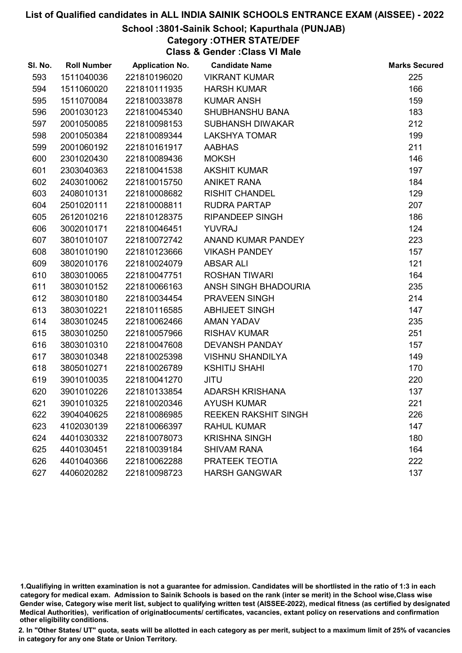## School :3801-Sainik School; Kapurthala (PUNJAB)

Category :OTHER STATE/DEF

Class & Gender :Class VI Male

| SI. No. | <b>Roll Number</b> | <b>Application No.</b> | <b>Candidate Name</b>       | <b>Marks Secured</b> |
|---------|--------------------|------------------------|-----------------------------|----------------------|
| 593     | 1511040036         | 221810196020           | <b>VIKRANT KUMAR</b>        | 225                  |
| 594     | 1511060020         | 221810111935           | <b>HARSH KUMAR</b>          | 166                  |
| 595     | 1511070084         | 221810033878           | <b>KUMAR ANSH</b>           | 159                  |
| 596     | 2001030123         | 221810045340           | <b>SHUBHANSHU BANA</b>      | 183                  |
| 597     | 2001050085         | 221810098153           | <b>SUBHANSH DIWAKAR</b>     | 212                  |
| 598     | 2001050384         | 221810089344           | <b>LAKSHYA TOMAR</b>        | 199                  |
| 599     | 2001060192         | 221810161917           | <b>AABHAS</b>               | 211                  |
| 600     | 2301020430         | 221810089436           | <b>MOKSH</b>                | 146                  |
| 601     | 2303040363         | 221810041538           | <b>AKSHIT KUMAR</b>         | 197                  |
| 602     | 2403010062         | 221810015750           | <b>ANIKET RANA</b>          | 184                  |
| 603     | 2408010131         | 221810008682           | <b>RISHIT CHANDEL</b>       | 129                  |
| 604     | 2501020111         | 221810008811           | <b>RUDRA PARTAP</b>         | 207                  |
| 605     | 2612010216         | 221810128375           | <b>RIPANDEEP SINGH</b>      | 186                  |
| 606     | 3002010171         | 221810046451           | <b>YUVRAJ</b>               | 124                  |
| 607     | 3801010107         | 221810072742           | ANAND KUMAR PANDEY          | 223                  |
| 608     | 3801010190         | 221810123666           | <b>VIKASH PANDEY</b>        | 157                  |
| 609     | 3802010176         | 221810024079           | <b>ABSAR ALI</b>            | 121                  |
| 610     | 3803010065         | 221810047751           | <b>ROSHAN TIWARI</b>        | 164                  |
| 611     | 3803010152         | 221810066163           | ANSH SINGH BHADOURIA        | 235                  |
| 612     | 3803010180         | 221810034454           | PRAVEEN SINGH               | 214                  |
| 613     | 3803010221         | 221810116585           | <b>ABHIJEET SINGH</b>       | 147                  |
| 614     | 3803010245         | 221810062466           | AMAN YADAV                  | 235                  |
| 615     | 3803010250         | 221810057966           | <b>RISHAV KUMAR</b>         | 251                  |
| 616     | 3803010310         | 221810047608           | <b>DEVANSH PANDAY</b>       | 157                  |
| 617     | 3803010348         | 221810025398           | <b>VISHNU SHANDILYA</b>     | 149                  |
| 618     | 3805010271         | 221810026789           | <b>KSHITIJ SHAHI</b>        | 170                  |
| 619     | 3901010035         | 221810041270           | <b>JITU</b>                 | 220                  |
| 620     | 3901010226         | 221810133854           | ADARSH KRISHANA             | 137                  |
| 621     | 3901010325         | 221810020346           | <b>AYUSH KUMAR</b>          | 221                  |
| 622     | 3904040625         | 221810086985           | <b>REEKEN RAKSHIT SINGH</b> | 226                  |
| 623     | 4102030139         | 221810066397           | <b>RAHUL KUMAR</b>          | 147                  |
| 624     | 4401030332         | 221810078073           | <b>KRISHNA SINGH</b>        | 180                  |
| 625     | 4401030451         | 221810039184           | <b>SHIVAM RANA</b>          | 164                  |
| 626     | 4401040366         | 221810062288           | PRATEEK TEOTIA              | 222                  |
| 627     | 4406020282         | 221810098723           | <b>HARSH GANGWAR</b>        | 137                  |

1.Qualifiying in written examination is not a guarantee for admission. Candidates will be shortlisted in the ratio of 1:3 in each category for medical exam. Admission to Sainik Schools is based on the rank (inter se merit) in the School wise,Class wise Gender wise, Category wise merit list, subject to qualifying written test (AISSEE-2022), medical fitness (as certified by designated Medical Authorities), verification of originablocuments/ certificates, vacancies, extant policy on reservations and confirmation other eligibility conditions.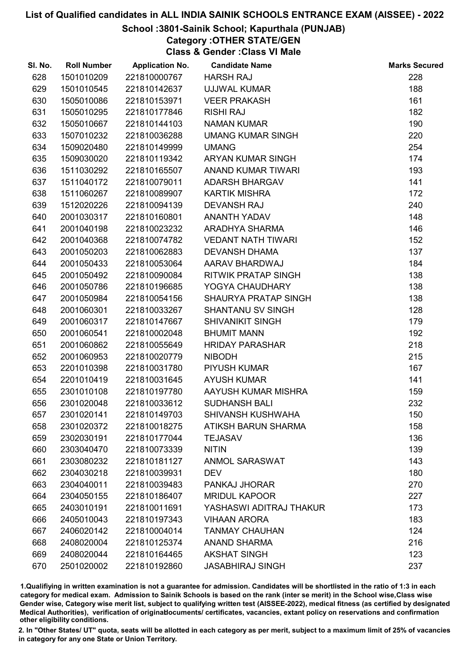## School :3801-Sainik School; Kapurthala (PUNJAB)

Category :OTHER STATE/GEN

Class & Gender :Class VI Male

| SI. No. | <b>Roll Number</b> | <b>Application No.</b> | <b>Candidate Name</b>      | <b>Marks Secured</b> |
|---------|--------------------|------------------------|----------------------------|----------------------|
| 628     | 1501010209         | 221810000767           | <b>HARSH RAJ</b>           | 228                  |
| 629     | 1501010545         | 221810142637           | <b>UJJWAL KUMAR</b>        | 188                  |
| 630     | 1505010086         | 221810153971           | <b>VEER PRAKASH</b>        | 161                  |
| 631     | 1505010295         | 221810177846           | <b>RISHI RAJ</b>           | 182                  |
| 632     | 1505010667         | 221810144103           | <b>NAMAN KUMAR</b>         | 190                  |
| 633     | 1507010232         | 221810036288           | <b>UMANG KUMAR SINGH</b>   | 220                  |
| 634     | 1509020480         | 221810149999           | <b>UMANG</b>               | 254                  |
| 635     | 1509030020         | 221810119342           | ARYAN KUMAR SINGH          | 174                  |
| 636     | 1511030292         | 221810165507           | ANAND KUMAR TIWARI         | 193                  |
| 637     | 1511040172         | 221810079011           | <b>ADARSH BHARGAV</b>      | 141                  |
| 638     | 1511060267         | 221810089907           | <b>KARTIK MISHRA</b>       | 172                  |
| 639     | 1512020226         | 221810094139           | <b>DEVANSH RAJ</b>         | 240                  |
| 640     | 2001030317         | 221810160801           | ANANTH YADAV               | 148                  |
| 641     | 2001040198         | 221810023232           | ARADHYA SHARMA             | 146                  |
| 642     | 2001040368         | 221810074782           | <b>VEDANT NATH TIWARI</b>  | 152                  |
| 643     | 2001050203         | 221810062883           | <b>DEVANSH DHAMA</b>       | 137                  |
| 644     | 2001050433         | 221810053064           | AARAV BHARDWAJ             | 184                  |
| 645     | 2001050492         | 221810090084           | <b>RITWIK PRATAP SINGH</b> | 138                  |
| 646     | 2001050786         | 221810196685           | YOGYA CHAUDHARY            | 138                  |
| 647     | 2001050984         | 221810054156           | SHAURYA PRATAP SINGH       | 138                  |
| 648     | 2001060301         | 221810033267           | <b>SHANTANU SV SINGH</b>   | 128                  |
| 649     | 2001060317         | 221810147667           | <b>SHIVANIKIT SINGH</b>    | 179                  |
| 650     | 2001060541         | 221810002048           | <b>BHUMIT MANN</b>         | 192                  |
| 651     | 2001060862         | 221810055649           | <b>HRIDAY PARASHAR</b>     | 218                  |
| 652     | 2001060953         | 221810020779           | <b>NIBODH</b>              | 215                  |
| 653     | 2201010398         | 221810031780           | <b>PIYUSH KUMAR</b>        | 167                  |
| 654     | 2201010419         | 221810031645           | <b>AYUSH KUMAR</b>         | 141                  |
| 655     | 2301010108         | 221810197780           | AAYUSH KUMAR MISHRA        | 159                  |
| 656     | 2301020048         | 221810033612           | <b>SUDHANSH BALI</b>       | 232                  |
| 657     | 2301020141         | 221810149703           | <b>SHIVANSH KUSHWAHA</b>   | 150                  |
| 658     | 2301020372         | 221810018275           | ATIKSH BARUN SHARMA        | 158                  |
| 659     | 2302030191         | 221810177044           | <b>TEJASAV</b>             | 136                  |
| 660     | 2303040470         | 221810073339           | <b>NITIN</b>               | 139                  |
| 661     | 2303080232         | 221810181127           | ANMOL SARASWAT             | 143                  |
| 662     | 2304030218         | 221810039931           | <b>DEV</b>                 | 180                  |
| 663     | 2304040011         | 221810039483           | PANKAJ JHORAR              | 270                  |
| 664     | 2304050155         | 221810186407           | <b>MRIDUL KAPOOR</b>       | 227                  |
| 665     | 2403010191         | 221810011691           | YASHASWI ADITRAJ THAKUR    | 173                  |
| 666     | 2405010043         | 221810197343           | <b>VIHAAN ARORA</b>        | 183                  |
| 667     | 2406020142         | 221810004014           | <b>TANMAY CHAUHAN</b>      | 124                  |
| 668     | 2408020004         | 221810125374           | <b>ANAND SHARMA</b>        | 216                  |
| 669     | 2408020044         | 221810164465           | <b>AKSHAT SINGH</b>        | 123                  |
| 670     | 2501020002         | 221810192860           | <b>JASABHIRAJ SINGH</b>    | 237                  |

1.Qualifiying in written examination is not a guarantee for admission. Candidates will be shortlisted in the ratio of 1:3 in each category for medical exam. Admission to Sainik Schools is based on the rank (inter se merit) in the School wise,Class wise Gender wise, Category wise merit list, subject to qualifying written test (AISSEE-2022), medical fitness (as certified by designated Medical Authorities), verification of originablocuments/ certificates, vacancies, extant policy on reservations and confirmation other eligibility conditions.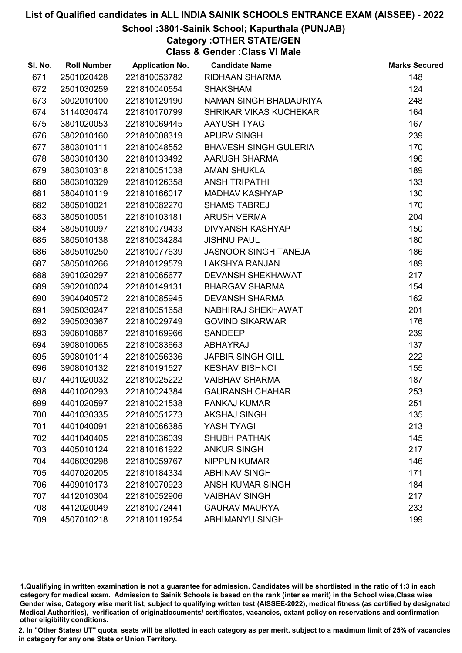## School :3801-Sainik School; Kapurthala (PUNJAB)

Category :OTHER STATE/GEN

Class & Gender :Class VI Male

| SI. No. | <b>Roll Number</b> | <b>Application No.</b> | <b>Candidate Name</b>         | <b>Marks Secured</b> |
|---------|--------------------|------------------------|-------------------------------|----------------------|
| 671     | 2501020428         | 221810053782           | RIDHAAN SHARMA                | 148                  |
| 672     | 2501030259         | 221810040554           | <b>SHAKSHAM</b>               | 124                  |
| 673     | 3002010100         | 221810129190           | NAMAN SINGH BHADAURIYA        | 248                  |
| 674     | 3114030474         | 221810170799           | <b>SHRIKAR VIKAS KUCHEKAR</b> | 164                  |
| 675     | 3801020053         | 221810069445           | <b>AAYUSH TYAGI</b>           | 167                  |
| 676     | 3802010160         | 221810008319           | <b>APURV SINGH</b>            | 239                  |
| 677     | 3803010111         | 221810048552           | <b>BHAVESH SINGH GULERIA</b>  | 170                  |
| 678     | 3803010130         | 221810133492           | <b>AARUSH SHARMA</b>          | 196                  |
| 679     | 3803010318         | 221810051038           | <b>AMAN SHUKLA</b>            | 189                  |
| 680     | 3803010329         | 221810126358           | <b>ANSH TRIPATHI</b>          | 133                  |
| 681     | 3804010119         | 221810166017           | <b>MADHAV KASHYAP</b>         | 130                  |
| 682     | 3805010021         | 221810082270           | <b>SHAMS TABREJ</b>           | 170                  |
| 683     | 3805010051         | 221810103181           | <b>ARUSH VERMA</b>            | 204                  |
| 684     | 3805010097         | 221810079433           | <b>DIVYANSH KASHYAP</b>       | 150                  |
| 685     | 3805010138         | 221810034284           | <b>JISHNU PAUL</b>            | 180                  |
| 686     | 3805010250         | 221810077639           | <b>JASNOOR SINGH TANEJA</b>   | 186                  |
| 687     | 3805010266         | 221810129579           | <b>LAKSHYA RANJAN</b>         | 189                  |
| 688     | 3901020297         | 221810065677           | <b>DEVANSH SHEKHAWAT</b>      | 217                  |
| 689     | 3902010024         | 221810149131           | <b>BHARGAV SHARMA</b>         | 154                  |
| 690     | 3904040572         | 221810085945           | <b>DEVANSH SHARMA</b>         | 162                  |
| 691     | 3905030247         | 221810051658           | NABHIRAJ SHEKHAWAT            | 201                  |
| 692     | 3905030367         | 221810029749           | <b>GOVIND SIKARWAR</b>        | 176                  |
| 693     | 3906010687         | 221810169966           | <b>SANDEEP</b>                | 239                  |
| 694     | 3908010065         | 221810083663           | <b>ABHAYRAJ</b>               | 137                  |
| 695     | 3908010114         | 221810056336           | <b>JAPBIR SINGH GILL</b>      | 222                  |
| 696     | 3908010132         | 221810191527           | <b>KESHAV BISHNOI</b>         | 155                  |
| 697     | 4401020032         | 221810025222           | <b>VAIBHAV SHARMA</b>         | 187                  |
| 698     | 4401020293         | 221810024384           | <b>GAURANSH CHAHAR</b>        | 253                  |
| 699     | 4401020597         | 221810021538           | PANKAJ KUMAR                  | 251                  |
| 700     | 4401030335         | 221810051273           | <b>AKSHAJ SINGH</b>           | 135                  |
| 701     | 4401040091         | 221810066385           | YASH TYAGI                    | 213                  |
| 702     | 4401040405         | 221810036039           | <b>SHUBH PATHAK</b>           | 145                  |
| 703     | 4405010124         | 221810161922           | <b>ANKUR SINGH</b>            | 217                  |
| 704     | 4406030298         | 221810059767           | <b>NIPPUN KUMAR</b>           | 146                  |
| 705     | 4407020205         | 221810184334           | <b>ABHINAV SINGH</b>          | 171                  |
| 706     | 4409010173         | 221810070923           | <b>ANSH KUMAR SINGH</b>       | 184                  |
| 707     | 4412010304         | 221810052906           | <b>VAIBHAV SINGH</b>          | 217                  |
| 708     | 4412020049         | 221810072441           | <b>GAURAV MAURYA</b>          | 233                  |
| 709     | 4507010218         | 221810119254           | <b>ABHIMANYU SINGH</b>        | 199                  |

1.Qualifiying in written examination is not a guarantee for admission. Candidates will be shortlisted in the ratio of 1:3 in each category for medical exam. Admission to Sainik Schools is based on the rank (inter se merit) in the School wise,Class wise Gender wise, Category wise merit list, subject to qualifying written test (AISSEE-2022), medical fitness (as certified by designated Medical Authorities), verification of originablocuments/ certificates, vacancies, extant policy on reservations and confirmation other eligibility conditions.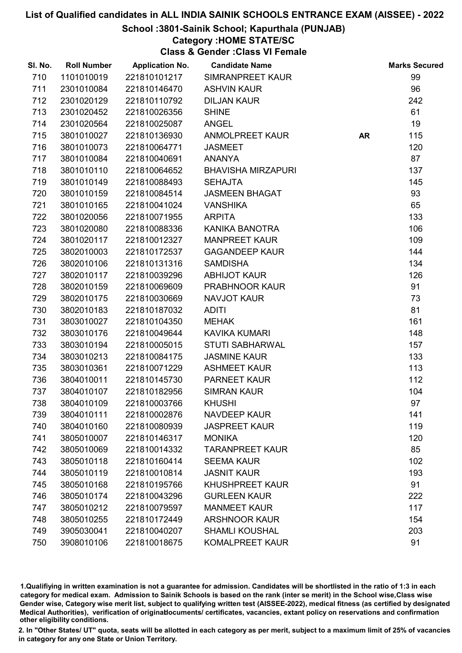## School :3801-Sainik School; Kapurthala (PUNJAB)

Category :HOME STATE/SC

Class & Gender :Class VI Female

| SI. No. | <b>Roll Number</b> | <b>Application No.</b> | <b>Candidate Name</b>     |           | <b>Marks Secured</b> |
|---------|--------------------|------------------------|---------------------------|-----------|----------------------|
| 710     | 1101010019         | 221810101217           | SIMRANPREET KAUR          |           | 99                   |
| 711     | 2301010084         | 221810146470           | <b>ASHVIN KAUR</b>        |           | 96                   |
| 712     | 2301020129         | 221810110792           | <b>DILJAN KAUR</b>        |           | 242                  |
| 713     | 2301020452         | 221810026356           | <b>SHINE</b>              |           | 61                   |
| 714     | 2301020564         | 221810025087           | <b>ANGEL</b>              |           | 19                   |
| 715     | 3801010027         | 221810136930           | <b>ANMOLPREET KAUR</b>    | <b>AR</b> | 115                  |
| 716     | 3801010073         | 221810064771           | <b>JASMEET</b>            |           | 120                  |
| 717     | 3801010084         | 221810040691           | <b>ANANYA</b>             |           | 87                   |
| 718     | 3801010110         | 221810064652           | <b>BHAVISHA MIRZAPURI</b> |           | 137                  |
| 719     | 3801010149         | 221810088493           | <b>SEHAJTA</b>            |           | 145                  |
| 720     | 3801010159         | 221810084514           | <b>JASMEEN BHAGAT</b>     |           | 93                   |
| 721     | 3801010165         | 221810041024           | <b>VANSHIKA</b>           |           | 65                   |
| 722     | 3801020056         | 221810071955           | <b>ARPITA</b>             |           | 133                  |
| 723     | 3801020080         | 221810088336           | KANIKA BANOTRA            |           | 106                  |
| 724     | 3801020117         | 221810012327           | <b>MANPREET KAUR</b>      |           | 109                  |
| 725     | 3802010003         | 221810172537           | <b>GAGANDEEP KAUR</b>     |           | 144                  |
| 726     | 3802010106         | 221810131316           | <b>SAMDISHA</b>           |           | 134                  |
| 727     | 3802010117         | 221810039296           | <b>ABHIJOT KAUR</b>       |           | 126                  |
| 728     | 3802010159         | 221810069609           | PRABHNOOR KAUR            |           | 91                   |
| 729     | 3802010175         | 221810030669           | <b>NAVJOT KAUR</b>        |           | 73                   |
| 730     | 3802010183         | 221810187032           | <b>ADITI</b>              |           | 81                   |
| 731     | 3803010027         | 221810104350           | <b>MEHAK</b>              |           | 161                  |
| 732     | 3803010176         | 221810049644           | <b>KAVIKA KUMARI</b>      |           | 148                  |
| 733     | 3803010194         | 221810005015           | <b>STUTI SABHARWAL</b>    |           | 157                  |
| 734     | 3803010213         | 221810084175           | <b>JASMINE KAUR</b>       |           | 133                  |
| 735     | 3803010361         | 221810071229           | <b>ASHMEET KAUR</b>       |           | 113                  |
| 736     | 3804010011         | 221810145730           | <b>PARNEET KAUR</b>       |           | 112                  |
| 737     | 3804010107         | 221810182956           | <b>SIMRAN KAUR</b>        |           | 104                  |
| 738     | 3804010109         | 221810003766           | <b>KHUSHI</b>             |           | 97                   |
| 739     | 3804010111         | 221810002876           | <b>NAVDEEP KAUR</b>       |           | 141                  |
| 740     | 3804010160         | 221810080939           | <b>JASPREET KAUR</b>      |           | 119                  |
| 741     | 3805010007         | 221810146317           | <b>MONIKA</b>             |           | 120                  |
| 742     | 3805010069         | 221810014332           | <b>TARANPREET KAUR</b>    |           | 85                   |
| 743     | 3805010118         | 221810160414           | <b>SEEMA KAUR</b>         |           | 102                  |
| 744     | 3805010119         | 221810010814           | <b>JASNIT KAUR</b>        |           | 193                  |
| 745     | 3805010168         | 221810195766           | <b>KHUSHPREET KAUR</b>    |           | 91                   |
| 746     | 3805010174         | 221810043296           | <b>GURLEEN KAUR</b>       |           | 222                  |
| 747     | 3805010212         | 221810079597           | <b>MANMEET KAUR</b>       |           | 117                  |
| 748     | 3805010255         | 221810172449           | <b>ARSHNOOR KAUR</b>      |           | 154                  |
| 749     | 3905030041         | 221810040207           | <b>SHAMLI KOUSHAL</b>     |           | 203                  |
| 750     | 3908010106         | 221810018675           | KOMALPREET KAUR           |           | 91                   |

1.Qualifiying in written examination is not a guarantee for admission. Candidates will be shortlisted in the ratio of 1:3 in each category for medical exam. Admission to Sainik Schools is based on the rank (inter se merit) in the School wise,Class wise Gender wise, Category wise merit list, subject to qualifying written test (AISSEE-2022), medical fitness (as certified by designated Medical Authorities), verification of originablocuments/ certificates, vacancies, extant policy on reservations and confirmation other eligibility conditions.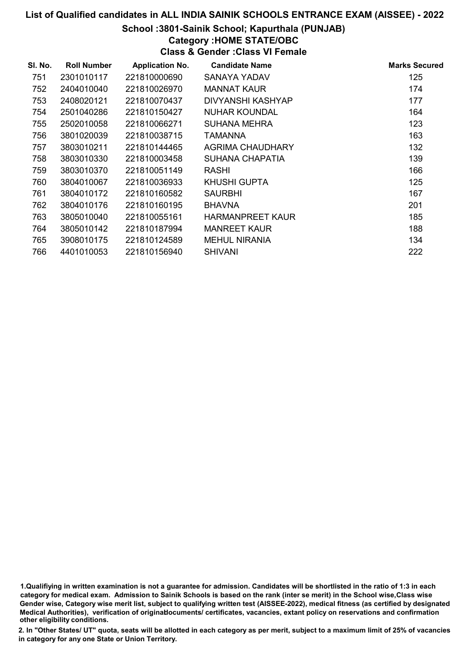## School :3801-Sainik School; Kapurthala (PUNJAB)

## Category :HOME STATE/OBC

Class & Gender :Class VI Female

| SI. No. | <b>Roll Number</b> | <b>Application No.</b> | <b>Candidate Name</b>    | <b>Marks Secured</b> |
|---------|--------------------|------------------------|--------------------------|----------------------|
| 751     | 2301010117         | 221810000690           | SANAYA YADAV             | 125                  |
| 752     | 2404010040         | 221810026970           | <b>MANNAT KAUR</b>       | 174                  |
| 753     | 2408020121         | 221810070437           | <b>DIVYANSHI KASHYAP</b> | 177                  |
| 754     | 2501040286         | 221810150427           | <b>NUHAR KOUNDAL</b>     | 164                  |
| 755     | 2502010058         | 221810066271           | <b>SUHANA MEHRA</b>      | 123                  |
| 756     | 3801020039         | 221810038715           | TAMANNA                  | 163                  |
| 757     | 3803010211         | 221810144465           | AGRIMA CHAUDHARY         | 132                  |
| 758     | 3803010330         | 221810003458           | SUHANA CHAPATIA          | 139                  |
| 759     | 3803010370         | 221810051149           | <b>RASHI</b>             | 166                  |
| 760     | 3804010067         | 221810036933           | KHUSHI GUPTA             | 125                  |
| 761     | 3804010172         | 221810160582           | <b>SAURBHI</b>           | 167                  |
| 762     | 3804010176         | 221810160195           | <b>BHAVNA</b>            | 201                  |
| 763     | 3805010040         | 221810055161           | <b>HARMANPREET KAUR</b>  | 185                  |
| 764     | 3805010142         | 221810187994           | <b>MANREET KAUR</b>      | 188                  |
| 765     | 3908010175         | 221810124589           | <b>MEHUL NIRANIA</b>     | 134                  |
| 766     | 4401010053         | 221810156940           | <b>SHIVANI</b>           | 222                  |

1.Qualifiying in written examination is not a guarantee for admission. Candidates will be shortlisted in the ratio of 1:3 in each category for medical exam. Admission to Sainik Schools is based on the rank (inter se merit) in the School wise,Class wise Gender wise, Category wise merit list, subject to qualifying written test (AISSEE-2022), medical fitness (as certified by designated Medical Authorities), verification of originablocuments/ certificates, vacancies, extant policy on reservations and confirmation other eligibility conditions.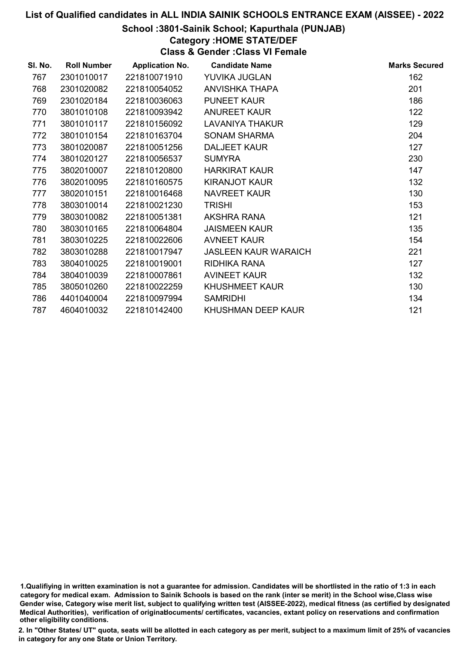### School :3801-Sainik School; Kapurthala (PUNJAB)

## Category :HOME STATE/DEF

Class & Gender :Class VI Female

| SI. No. | <b>Roll Number</b> | <b>Application No.</b> | <b>Candidate Name</b>       | <b>Marks Secured</b> |
|---------|--------------------|------------------------|-----------------------------|----------------------|
| 767     | 2301010017         | 221810071910           | YUVIKA JUGLAN               | 162                  |
| 768     | 2301020082         | 221810054052           | <b>ANVISHKA THAPA</b>       | 201                  |
| 769     | 2301020184         | 221810036063           | <b>PUNEET KAUR</b>          | 186                  |
| 770     | 3801010108         | 221810093942           | <b>ANUREET KAUR</b>         | 122                  |
| 771     | 3801010117         | 221810156092           | <b>LAVANIYA THAKUR</b>      | 129                  |
| 772     | 3801010154         | 221810163704           | <b>SONAM SHARMA</b>         | 204                  |
| 773     | 3801020087         | 221810051256           | DALJEET KAUR                | 127                  |
| 774     | 3801020127         | 221810056537           | <b>SUMYRA</b>               | 230                  |
| 775     | 3802010007         | 221810120800           | <b>HARKIRAT KAUR</b>        | 147                  |
| 776     | 3802010095         | 221810160575           | <b>KIRANJOT KAUR</b>        | 132                  |
| 777     | 3802010151         | 221810016468           | NAVREET KAUR                | 130                  |
| 778     | 3803010014         | 221810021230           | <b>TRISHI</b>               | 153                  |
| 779     | 3803010082         | 221810051381           | AKSHRA RANA                 | 121                  |
| 780     | 3803010165         | 221810064804           | <b>JAISMEEN KAUR</b>        | 135                  |
| 781     | 3803010225         | 221810022606           | <b>AVNEET KAUR</b>          | 154                  |
| 782     | 3803010288         | 221810017947           | <b>JASLEEN KAUR WARAICH</b> | 221                  |
| 783     | 3804010025         | 221810019001           | RIDHIKA RANA                | 127                  |
| 784     | 3804010039         | 221810007861           | <b>AVINEET KAUR</b>         | 132                  |
| 785     | 3805010260         | 221810022259           | <b>KHUSHMEET KAUR</b>       | 130                  |
| 786     | 4401040004         | 221810097994           | <b>SAMRIDHI</b>             | 134                  |
| 787     | 4604010032         | 221810142400           | KHUSHMAN DEEP KAUR          | 121                  |

<sup>1.</sup>Qualifiying in written examination is not a guarantee for admission. Candidates will be shortlisted in the ratio of 1:3 in each category for medical exam. Admission to Sainik Schools is based on the rank (inter se merit) in the School wise,Class wise Gender wise, Category wise merit list, subject to qualifying written test (AISSEE-2022), medical fitness (as certified by designated Medical Authorities), verification of originablocuments/ certificates, vacancies, extant policy on reservations and confirmation other eligibility conditions.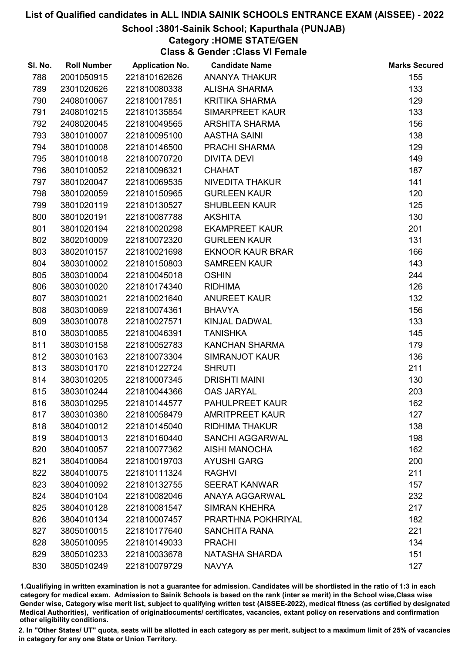## School :3801-Sainik School; Kapurthala (PUNJAB)

## Category :HOME STATE/GEN

Class & Gender :Class VI Female

| SI. No. | <b>Roll Number</b> | <b>Application No.</b> | <b>Candidate Name</b>   | <b>Marks Secured</b> |
|---------|--------------------|------------------------|-------------------------|----------------------|
| 788     | 2001050915         | 221810162626           | <b>ANANYA THAKUR</b>    | 155                  |
| 789     | 2301020626         | 221810080338           | <b>ALISHA SHARMA</b>    | 133                  |
| 790     | 2408010067         | 221810017851           | <b>KRITIKA SHARMA</b>   | 129                  |
| 791     | 2408010215         | 221810135854           | SIMARPREET KAUR         | 133                  |
| 792     | 2408020045         | 221810049565           | <b>ARSHITA SHARMA</b>   | 156                  |
| 793     | 3801010007         | 221810095100           | <b>AASTHA SAINI</b>     | 138                  |
| 794     | 3801010008         | 221810146500           | PRACHI SHARMA           | 129                  |
| 795     | 3801010018         | 221810070720           | <b>DIVITA DEVI</b>      | 149                  |
| 796     | 3801010052         | 221810096321           | <b>CHAHAT</b>           | 187                  |
| 797     | 3801020047         | 221810069535           | NIVEDITA THAKUR         | 141                  |
| 798     | 3801020059         | 221810150965           | <b>GURLEEN KAUR</b>     | 120                  |
| 799     | 3801020119         | 221810130527           | <b>SHUBLEEN KAUR</b>    | 125                  |
| 800     | 3801020191         | 221810087788           | <b>AKSHITA</b>          | 130                  |
| 801     | 3801020194         | 221810020298           | <b>EKAMPREET KAUR</b>   | 201                  |
| 802     | 3802010009         | 221810072320           | <b>GURLEEN KAUR</b>     | 131                  |
| 803     | 3802010157         | 221810021698           | <b>EKNOOR KAUR BRAR</b> | 166                  |
| 804     | 3803010002         | 221810150803           | <b>SAMREEN KAUR</b>     | 143                  |
| 805     | 3803010004         | 221810045018           | <b>OSHIN</b>            | 244                  |
| 806     | 3803010020         | 221810174340           | <b>RIDHIMA</b>          | 126                  |
| 807     | 3803010021         | 221810021640           | <b>ANUREET KAUR</b>     | 132                  |
| 808     | 3803010069         | 221810074361           | <b>BHAVYA</b>           | 156                  |
| 809     | 3803010078         | 221810027571           | KINJAL DADWAL           | 133                  |
| 810     | 3803010085         | 221810046391           | <b>TANISHKA</b>         | 145                  |
| 811     | 3803010158         | 221810052783           | <b>KANCHAN SHARMA</b>   | 179                  |
| 812     | 3803010163         | 221810073304           | <b>SIMRANJOT KAUR</b>   | 136                  |
| 813     | 3803010170         | 221810122724           | <b>SHRUTI</b>           | 211                  |
| 814     | 3803010205         | 221810007345           | <b>DRISHTI MAINI</b>    | 130                  |
| 815     | 3803010244         | 221810044366           | <b>OAS JARYAL</b>       | 203                  |
| 816     | 3803010295         | 221810144577           | <b>PAHULPREET KAUR</b>  | 162                  |
| 817     | 3803010380         | 221810058479           | <b>AMRITPREET KAUR</b>  | 127                  |
| 818     | 3804010012         | 221810145040           | <b>RIDHIMA THAKUR</b>   | 138                  |
| 819     | 3804010013         | 221810160440           | <b>SANCHI AGGARWAL</b>  | 198                  |
| 820     | 3804010057         | 221810077362           | <b>AISHI MANOCHA</b>    | 162                  |
| 821     | 3804010064         | 221810019703           | <b>AYUSHI GARG</b>      | 200                  |
| 822     | 3804010075         | 221810111324           | <b>RAGHVI</b>           | 211                  |
| 823     | 3804010092         | 221810132755           | <b>SEERAT KANWAR</b>    | 157                  |
| 824     | 3804010104         | 221810082046           | <b>ANAYA AGGARWAL</b>   | 232                  |
| 825     | 3804010128         | 221810081547           | <b>SIMRAN KHEHRA</b>    | 217                  |
| 826     | 3804010134         | 221810007457           | PRARTHNA POKHRIYAL      | 182                  |
| 827     | 3805010015         | 221810177640           | <b>SANCHITA RANA</b>    | 221                  |
| 828     | 3805010095         | 221810149033           | <b>PRACHI</b>           | 134                  |
| 829     | 3805010233         | 221810033678           | NATASHA SHARDA          | 151                  |
| 830     | 3805010249         | 221810079729           | <b>NAVYA</b>            | 127                  |

1.Qualifiying in written examination is not a guarantee for admission. Candidates will be shortlisted in the ratio of 1:3 in each category for medical exam. Admission to Sainik Schools is based on the rank (inter se merit) in the School wise,Class wise Gender wise, Category wise merit list, subject to qualifying written test (AISSEE-2022), medical fitness (as certified by designated Medical Authorities), verification of originablocuments/ certificates, vacancies, extant policy on reservations and confirmation other eligibility conditions.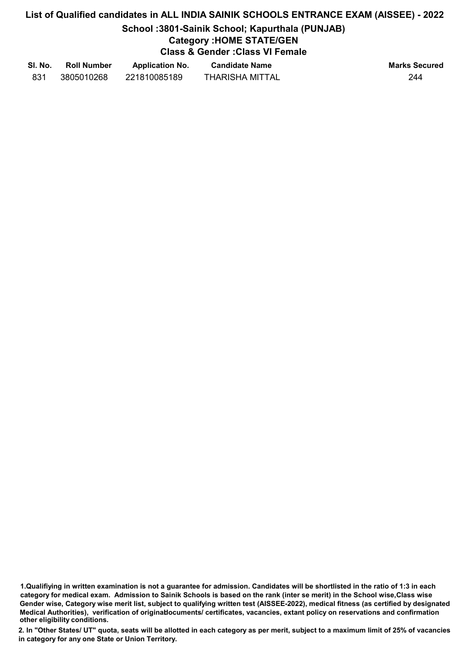## School :3801-Sainik School; Kapurthala (PUNJAB)

## Category :HOME STATE/GEN

Class & Gender :Class VI Female

| SI. No. | <b>Roll Number</b> | <b>Application No.</b> | <b>Candidate Name</b>  | <b>Marks Secured</b> |
|---------|--------------------|------------------------|------------------------|----------------------|
|         | 3805010268         | 221810085189           | <b>THARISHA MITTAL</b> | 244                  |

1.Qualifiying in written examination is not a guarantee for admission. Candidates will be shortlisted in the ratio of 1:3 in each category for medical exam. Admission to Sainik Schools is based on the rank (inter se merit) in the School wise,Class wise Gender wise, Category wise merit list, subject to qualifying written test (AISSEE-2022), medical fitness (as certified by designated Medical Authorities), verification of originablocuments/ certificates, vacancies, extant policy on reservations and confirmation other eligibility conditions.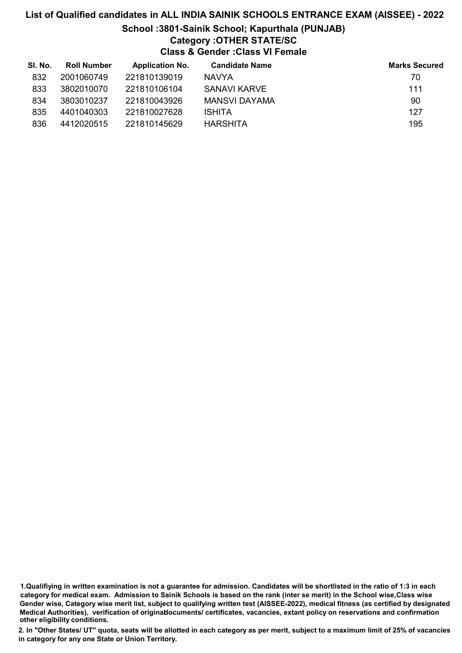# List of Qualified candidates in ALL INDIA SAINIK SCHOOLS ENTRANCE EXAM (AISSEE) - 2022 School :3801-Sainik School; Kapurthala (PUNJAB) Category :OTHER STATE/SC Class & Gender :Class VI Female

| SI. No. | <b>Roll Number</b> | <b>Application No.</b> | <b>Candidate Name</b> | <b>Marks Secured</b> |
|---------|--------------------|------------------------|-----------------------|----------------------|
| 832     | 2001060749         | 221810139019           | <b>NAVYA</b>          | 70                   |
| 833     | 3802010070         | 221810106104           | SANAVI KARVE          | 111                  |
| 834     | 3803010237         | 221810043926           | MANSVI DAYAMA         | 90                   |
| 835     | 4401040303         | 221810027628           | <b>ISHITA</b>         | 127                  |
| 836     | 4412020515         | 221810145629           | <b>HARSHITA</b>       | 195                  |

<sup>1.</sup>Qualifiying in written examination is not a guarantee for admission. Candidates will be shortlisted in the ratio of 1:3 in each category for medical exam. Admission to Sainik Schools is based on the rank (inter se merit) in the School wise,Class wise Gender wise, Category wise merit list, subject to qualifying written test (AISSEE-2022), medical fitness (as certified by designated Medical Authorities), verification of originablocuments/ certificates, vacancies, extant policy on reservations and confirmation other eligibility conditions.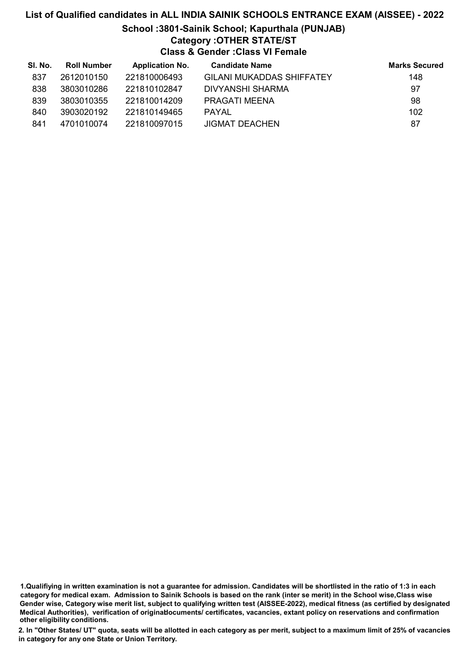## List of Qualified candidates in ALL INDIA SAINIK SCHOOLS ENTRANCE EXAM (AISSEE) - 2022 School :3801-Sainik School; Kapurthala (PUNJAB) Category :OTHER STATE/ST Class & Gender :Class VI Female

| SI. No. | <b>Roll Number</b> | <b>Application No.</b> | <b>Candidate Name</b>            | <b>Marks Secured</b> |
|---------|--------------------|------------------------|----------------------------------|----------------------|
| 837     | 2612010150         | 221810006493           | <b>GILANI MUKADDAS SHIFFATEY</b> | 148                  |
| 838     | 3803010286         | 221810102847           | DIVYANSHI SHARMA                 | 97                   |
| 839     | 3803010355         | 221810014209           | PRAGATI MEENA                    | 98                   |
| 840     | 3903020192         | 221810149465           | <b>PAYAL</b>                     | 102                  |
| 841     | 4701010074         | 221810097015           | <b>JIGMAT DEACHEN</b>            | 87                   |

<sup>1.</sup>Qualifiying in written examination is not a guarantee for admission. Candidates will be shortlisted in the ratio of 1:3 in each category for medical exam. Admission to Sainik Schools is based on the rank (inter se merit) in the School wise,Class wise Gender wise, Category wise merit list, subject to qualifying written test (AISSEE-2022), medical fitness (as certified by designated Medical Authorities), verification of originablocuments/ certificates, vacancies, extant policy on reservations and confirmation other eligibility conditions.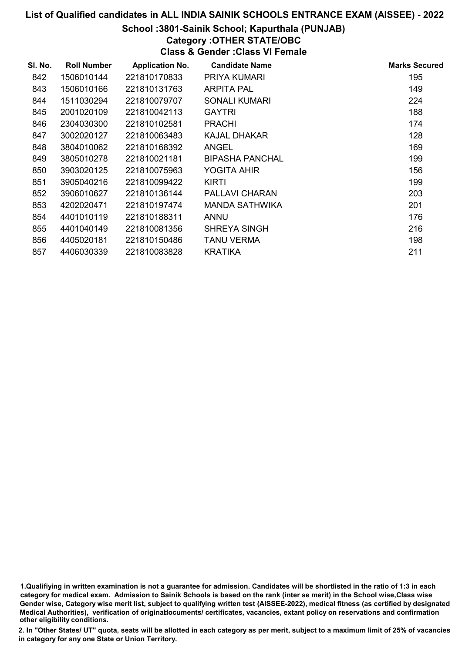## School :3801-Sainik School; Kapurthala (PUNJAB)

## Category :OTHER STATE/OBC

Class & Gender :Class VI Female

| SI. No. | <b>Roll Number</b> | <b>Application No.</b> | <b>Candidate Name</b>  | <b>Marks Secured</b> |
|---------|--------------------|------------------------|------------------------|----------------------|
| 842     | 1506010144         | 221810170833           | PRIYA KUMARI           | 195                  |
| 843     | 1506010166         | 221810131763           | <b>ARPITA PAL</b>      | 149                  |
| 844     | 1511030294         | 221810079707           | <b>SONALI KUMARI</b>   | 224                  |
| 845     | 2001020109         | 221810042113           | <b>GAYTRI</b>          | 188                  |
| 846     | 2304030300         | 221810102581           | <b>PRACHI</b>          | 174                  |
| 847     | 3002020127         | 221810063483           | <b>KAJAL DHAKAR</b>    | 128                  |
| 848     | 3804010062         | 221810168392           | <b>ANGEL</b>           | 169                  |
| 849     | 3805010278         | 221810021181           | <b>BIPASHA PANCHAL</b> | 199                  |
| 850     | 3903020125         | 221810075963           | YOGITA AHIR            | 156                  |
| 851     | 3905040216         | 221810099422           | <b>KIRTI</b>           | 199                  |
| 852     | 3906010627         | 221810136144           | PALLAVI CHARAN         | 203                  |
| 853     | 4202020471         | 221810197474           | MANDA SATHWIKA         | 201                  |
| 854     | 4401010119         | 221810188311           | <b>ANNU</b>            | 176                  |
| 855     | 4401040149         | 221810081356           | SHREYA SINGH           | 216                  |
| 856     | 4405020181         | 221810150486           | TANU VERMA             | 198                  |
| 857     | 4406030339         | 221810083828           | KRATIKA                | 211                  |

1.Qualifiying in written examination is not a guarantee for admission. Candidates will be shortlisted in the ratio of 1:3 in each category for medical exam. Admission to Sainik Schools is based on the rank (inter se merit) in the School wise,Class wise Gender wise, Category wise merit list, subject to qualifying written test (AISSEE-2022), medical fitness (as certified by designated Medical Authorities), verification of originablocuments/ certificates, vacancies, extant policy on reservations and confirmation other eligibility conditions.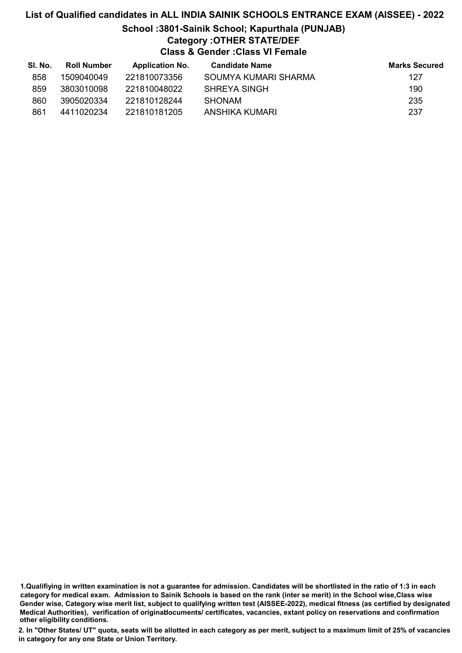# List of Qualified candidates in ALL INDIA SAINIK SCHOOLS ENTRANCE EXAM (AISSEE) - 2022 School :3801-Sainik School; Kapurthala (PUNJAB)

# Category :OTHER STATE/DEF

Class & Gender :Class VI Female

| SI. No. | <b>Roll Number</b> | <b>Application No.</b> | <b>Candidate Name</b> | <b>Marks Secured</b> |
|---------|--------------------|------------------------|-----------------------|----------------------|
| 858     | 1509040049         | 221810073356           | SOUMYA KUMARI SHARMA  | 127                  |
| 859     | 3803010098         | 221810048022           | SHREYA SINGH          | 190                  |
| 860     | 3905020334         | 221810128244           | <b>SHONAM</b>         | 235                  |
| 861     | 4411020234         | 221810181205           | ANSHIKA KUMARI        | 237                  |

1.Qualifiying in written examination is not a guarantee for admission. Candidates will be shortlisted in the ratio of 1:3 in each category for medical exam. Admission to Sainik Schools is based on the rank (inter se merit) in the School wise,Class wise Gender wise, Category wise merit list, subject to qualifying written test (AISSEE-2022), medical fitness (as certified by designated Medical Authorities), verification of originablocuments/ certificates, vacancies, extant policy on reservations and confirmation other eligibility conditions.